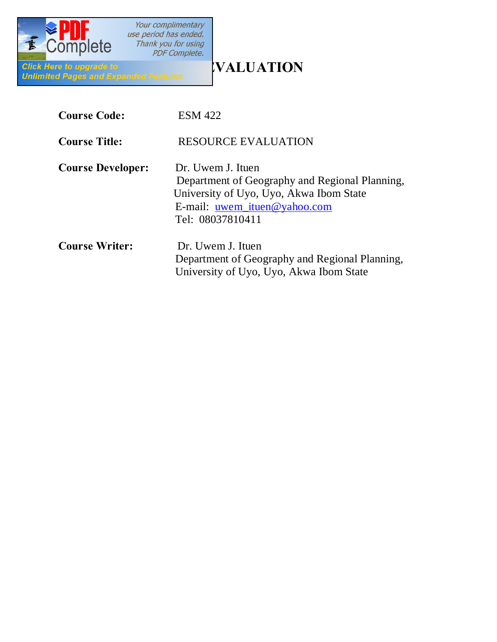

| <b>Course Code:</b>      | <b>ESM 422</b>                                                                                                                                                            |
|--------------------------|---------------------------------------------------------------------------------------------------------------------------------------------------------------------------|
| <b>Course Title:</b>     | <b>RESOURCE EVALUATION</b>                                                                                                                                                |
| <b>Course Developer:</b> | Dr. Uwem J. Ituen<br>Department of Geography and Regional Planning,<br>University of Uyo, Uyo, Akwa Ibom State<br>E-mail: <u>uwem_ituen@yahoo.com</u><br>Tel: 08037810411 |
| <b>Course Writer:</b>    | Dr. Uwem J. Ituen<br>Department of Geography and Regional Planning,<br>University of Uyo, Uyo, Akwa Ibom State                                                            |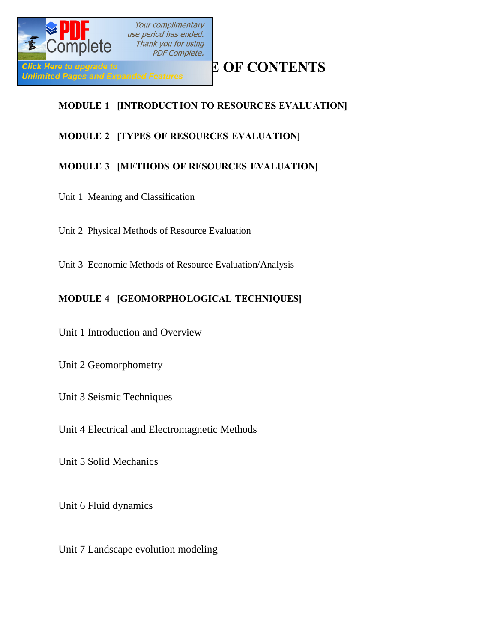

## **MODULE 1 [INTRODUCTION TO RESOURCES EVALUATION]**

## **MODULE 2 [TYPES OF RESOURCES EVALUATION]**

### **MODULE 3 [METHODS OF RESOURCES EVALUATION]**

- Unit 1 Meaning and Classification
- Unit 2 Physical Methods of Resource Evaluation
- Unit 3 Economic Methods of Resource Evaluation/Analysis

### **MODULE 4 [GEOMORPHOLOGICAL TECHNIQUES]**

Unit 1 Introduction and Overview

Unit 2 Geomorphometry

Unit 3 Seismic Techniques

Unit 4 Electrical and Electromagnetic Methods

Unit 5 Solid Mechanics

Unit 6 Fluid dynamics

Unit 7 Landscape evolution modeling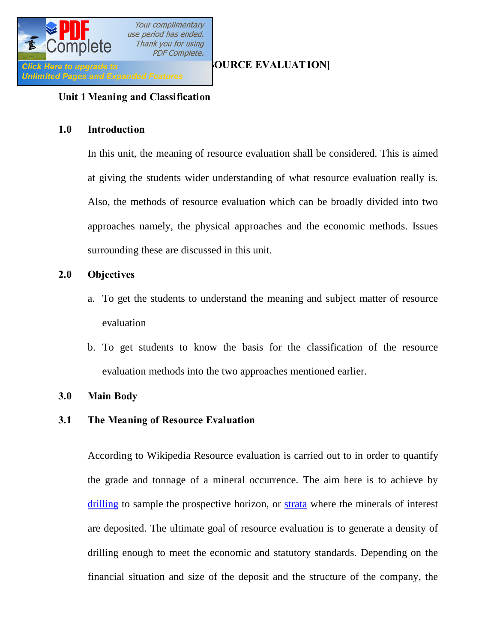

### **Unit 1 Meaning and Classification**

### **1.0 Introduction**

In this unit, the meaning of resource evaluation shall be considered. This is aimed at giving the students wider understanding of what resource evaluation really is. Also, the methods of resource evaluation which can be broadly divided into two approaches namely, the physical approaches and the economic methods. Issues surrounding these are discussed in this unit.

### **2.0 Objectives**

- a. To get the students to understand the meaning and subject matter of resource evaluation
- b. To get students to know the basis for the classification of the resource evaluation methods into the two approaches mentioned earlier.

### **3.0 Main Body**

### **3.1 The Meaning of Resource Evaluation**

According to Wikipedia Resource evaluation is carried out to in order to quantify the grade and tonnage of a mineral occurrence. The aim here is to achieve by [drilling](http://en.wikipedia.org/wiki/Drilling_rig) to sample the prospective horizon, or [strata](http://en.wikipedia.org/wiki/Stratum) where the minerals of interest are deposited. The ultimate goal of resource evaluation is to generate a density of drilling enough to meet the economic and statutory standards. Depending on the financial situation and size of the deposit and the structure of the company, the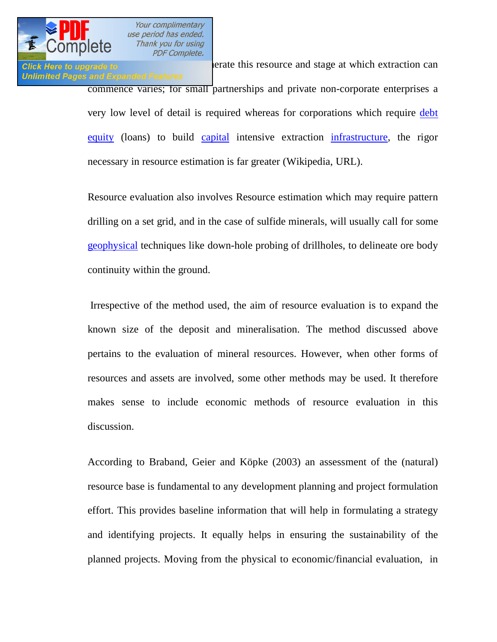

**Click Here to upgrade to generate this resource and stage at which extraction can** Unlimited Pages and Expanded Features commence varies; for small partnerships and private non-corporate enterprises a very low level of detail is required whereas for corporations which require [debt](http://en.wikipedia.org/wiki/Debt) [equity](http://en.wikipedia.org/wiki/Ownership_equity) (loans) to build [capital](http://en.wikipedia.org/wiki/Capital_(economics)) intensive extraction [infrastructure,](http://en.wikipedia.org/wiki/Infrastructure) the rigor necessary in resource estimation is far greater (Wikipedia, URL).

> Resource evaluation also involves Resource estimation which may require pattern drilling on a set grid, and in the case of sulfide minerals, will usually call for some [geophysical](http://en.wikipedia.org/wiki/Geophysics) techniques like down-hole probing of drillholes, to delineate ore body continuity within the ground.

> Irrespective of the method used, the aim of resource evaluation is to expand the known size of the deposit and mineralisation. The method discussed above pertains to the evaluation of mineral resources. However, when other forms of resources and assets are involved, some other methods may be used. It therefore makes sense to include economic methods of resource evaluation in this discussion.

> According to Braband, Geier and Köpke (2003) an assessment of the (natural) resource base is fundamental to any development planning and project formulation effort. This provides baseline information that will help in formulating a strategy and identifying projects. It equally helps in ensuring the sustainability of the planned projects. Moving from the physical to economic/financial evaluation, in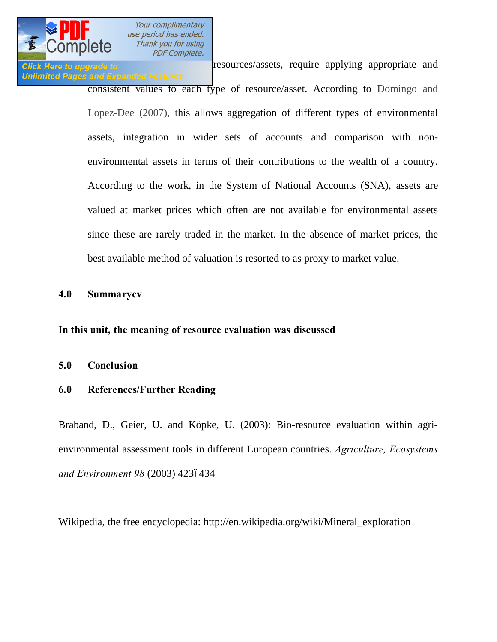

**Click Here to upgrade to resources/assets**, require applying appropriate and **Unlimited Pages and Expanded Features** consistent values to each type of resource/asset. According to Domingo and Lopez-Dee (2007), this allows aggregation of different types of environmental assets, integration in wider sets of accounts and comparison with nonenvironmental assets in terms of their contributions to the wealth of a country. According to the work, in the System of National Accounts (SNA), assets are valued at market prices which often are not available for environmental assets since these are rarely traded in the market. In the absence of market prices, the best available method of valuation is resorted to as proxy to market value.

### **4.0 Summarycv**

**In this unit, the meaning of resource evaluation was discussed**

### **5.0 Conclusion**

### **6.0 References/Further Reading**

Braband, D., Geier, U. and Köpke, U. (2003): Bio-resource evaluation within agrienvironmental assessment tools in different European countries. *Agriculture, Ecosystems*  and Environment 98 (2003) 4236434

Wikipedia, the free encyclopedia: http://en.wikipedia.org/wiki/Mineral\_exploration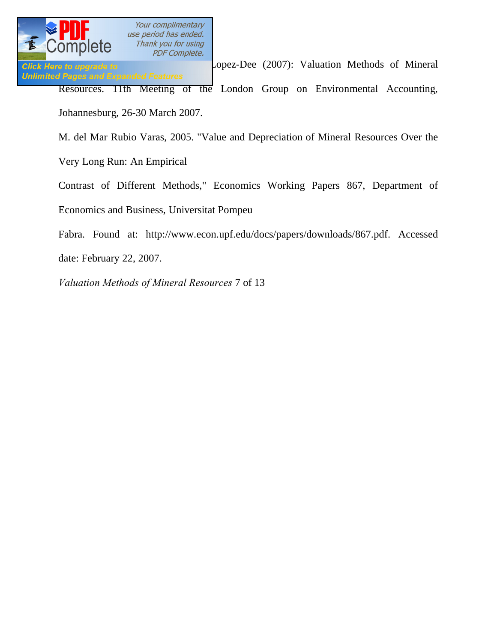

Click Here to upgrade to **E.** Lopez-Dee (2007): Valuation Methods of Mineral **Unlimited Pages and Expanded Features** Resources. 11th Meeting of the London Group on Environmental Accounting, Johannesburg, 26-30 March 2007.

M. del Mar Rubio Varas, 2005. "Value and Depreciation of Mineral Resources Over the

Very Long Run: An Empirical

Contrast of Different Methods," Economics Working Papers 867, Department of Economics and Business, Universitat Pompeu

Fabra. Found at: http://www.econ.upf.edu/docs/papers/downloads/867.pdf. Accessed date: February 22, 2007.

*Valuation Methods of Mineral Resources* 7 of 13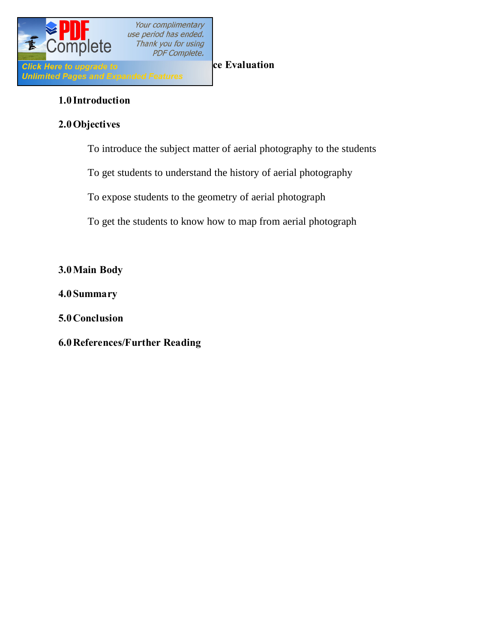

### **1.0 Introduction**

### **2.0Objectives**

To introduce the subject matter of aerial photography to the students

To get students to understand the history of aerial photography

To expose students to the geometry of aerial photograph

To get the students to know how to map from aerial photograph

**3.0Main Body**

**4.0 Summary**

**5.0Conclusion**

**6.0References/Further Reading**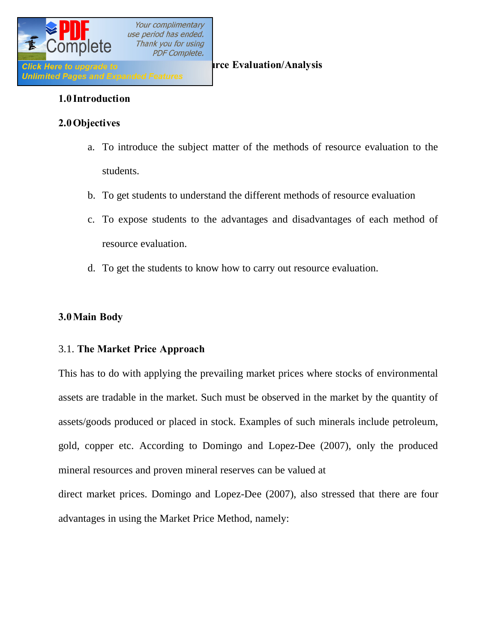

### **1.0 Introduction**

### **2.0Objectives**

- a. To introduce the subject matter of the methods of resource evaluation to the students.
- b. To get students to understand the different methods of resource evaluation
- c. To expose students to the advantages and disadvantages of each method of resource evaluation.
- d. To get the students to know how to carry out resource evaluation.

### **3.0Main Body**

### 3.1. **The Market Price Approach**

This has to do with applying the prevailing market prices where stocks of environmental assets are tradable in the market. Such must be observed in the market by the quantity of assets/goods produced or placed in stock. Examples of such minerals include petroleum, gold, copper etc. According to Domingo and Lopez-Dee (2007), only the produced mineral resources and proven mineral reserves can be valued at direct market prices. Domingo and Lopez-Dee (2007), also stressed that there are four

advantages in using the Market Price Method, namely: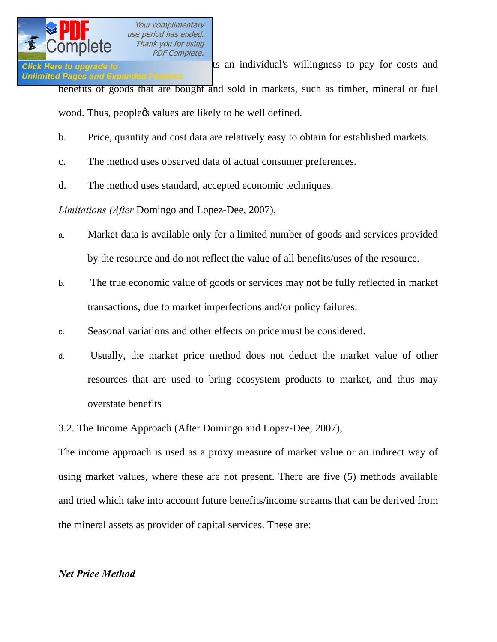**Click Here to upgrade to costs and reflects and reflects and reflects and reflects and reflects and reflects and reflects and reflects and reflects and reflects and reflects and reflects and reflects and reflects and refl Unlimited Pages and Expanded Features** benefits of goods that are bought and sold in markets, such as timber, mineral or fuel wood. Thus, peoplect values are likely to be well defined.

- b. Price, quantity and cost data are relatively easy to obtain for established markets.
- c. The method uses observed data of actual consumer preferences.
- d. The method uses standard, accepted economic techniques.

*Limitations (After* Domingo and Lopez-Dee, 2007),

- a. Market data is available only for a limited number of goods and services provided by the resource and do not reflect the value of all benefits/uses of the resource.
- b. The true economic value of goods or services may not be fully reflected in market transactions, due to market imperfections and/or policy failures.
- c. Seasonal variations and other effects on price must be considered.
- d. Usually, the market price method does not deduct the market value of other resources that are used to bring ecosystem products to market, and thus may overstate benefits

3.2. The Income Approach (After Domingo and Lopez-Dee, 2007),

The income approach is used as a proxy measure of market value or an indirect way of using market values, where these are not present. There are five (5) methods available and tried which take into account future benefits/income streams that can be derived from the mineral assets as provider of capital services. These are:

### *Net Price Method*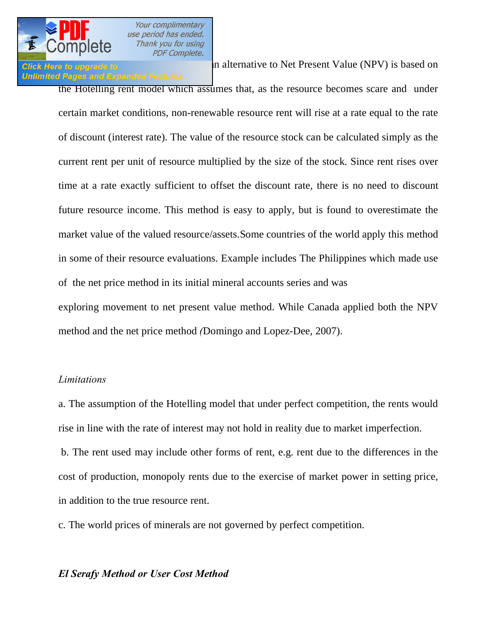

### **Unlimited Pages and Expanded Features**

Click Here to upgrade to **net price method which can be an alternative** to Net Present Value (NPV) is based on

the Hotelling rent model which assumes that, as the resource becomes scare and under certain market conditions, non-renewable resource rent will rise at a rate equal to the rate of discount (interest rate). The value of the resource stock can be calculated simply as the current rent per unit of resource multiplied by the size of the stock. Since rent rises over time at a rate exactly sufficient to offset the discount rate, there is no need to discount future resource income. This method is easy to apply, but is found to overestimate the market value of the valued resource/assets.Some countries of the world apply this method in some of their resource evaluations. Example includes The Philippines which made use of the net price method in its initial mineral accounts series and was exploring movement to net present value method. While Canada applied both the NPV method and the net price method *(*Domingo and Lopez-Dee, 2007).

### *Limitations*

a. The assumption of the Hotelling model that under perfect competition, the rents would rise in line with the rate of interest may not hold in reality due to market imperfection.

b. The rent used may include other forms of rent, e.g. rent due to the differences in the cost of production, monopoly rents due to the exercise of market power in setting price, in addition to the true resource rent.

c. The world prices of minerals are not governed by perfect competition.

### *El Serafy Method or User Cost Method*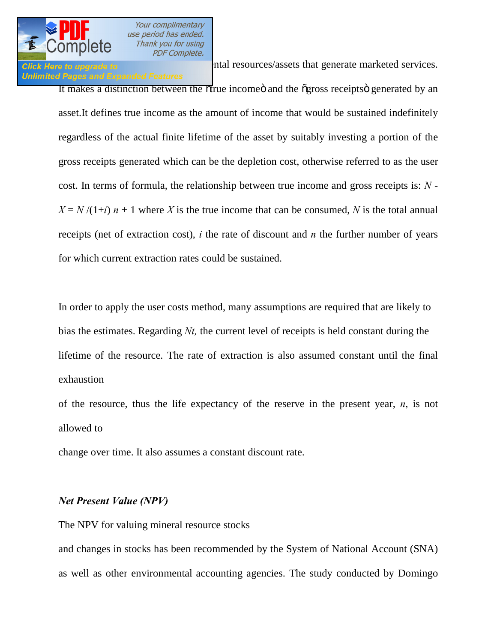

### **Unlimited Pages and Expanded Features**

Click Here to upgrade to environmental resources/assets that generate marketed services.

It makes a distinction between the otrue income oand the ogross receipts generated by an asset.It defines true income as the amount of income that would be sustained indefinitely regardless of the actual finite lifetime of the asset by suitably investing a portion of the gross receipts generated which can be the depletion cost, otherwise referred to as the user cost. In terms of formula, the relationship between true income and gross receipts is: *N* -  $X = N/(1+i)$  *n* + 1 where *X* is the true income that can be consumed, *N* is the total annual receipts (net of extraction cost), *i* the rate of discount and *n* the further number of years for which current extraction rates could be sustained.

In order to apply the user costs method, many assumptions are required that are likely to bias the estimates. Regarding *Nt,* the current level of receipts is held constant during the lifetime of the resource. The rate of extraction is also assumed constant until the final exhaustion

of the resource, thus the life expectancy of the reserve in the present year, *n*, is not allowed to

change over time. It also assumes a constant discount rate.

### *Net Present Value (NPV)*

The NPV for valuing mineral resource stocks

and changes in stocks has been recommended by the System of National Account (SNA) as well as other environmental accounting agencies. The study conducted by Domingo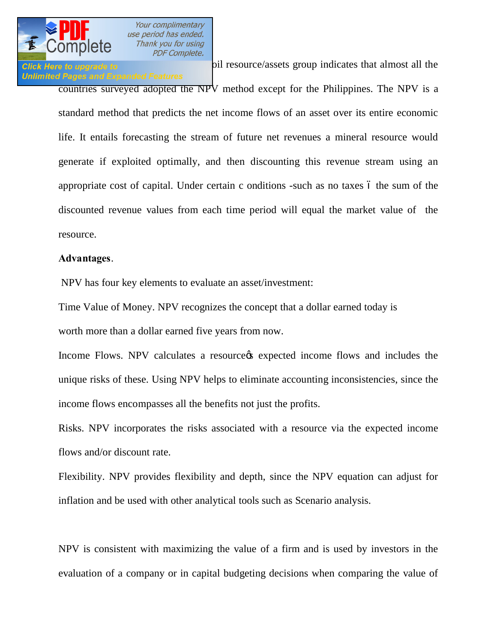

# **Unlimited Pages and Expanded Features**

**Click Here to upgrade to Dependent of the sub-solution of the source/assets group indicates that almost all the** 

countries surveyed adopted the NPV method except for the Philippines. The NPV is a standard method that predicts the net income flows of an asset over its entire economic life. It entails forecasting the stream of future net revenues a mineral resource would generate if exploited optimally, and then discounting this revenue stream using an appropriate cost of capital. Under certain c onditions -such as no taxes  $\acute{o}$  the sum of the discounted revenue values from each time period will equal the market value of the resource.

### **Advantages**.

NPV has four key elements to evaluate an asset/investment:

Time Value of Money. NPV recognizes the concept that a dollar earned today is worth more than a dollar earned five years from now.

Income Flows. NPV calculates a resource texpected income flows and includes the unique risks of these. Using NPV helps to eliminate accounting inconsistencies, since the income flows encompasses all the benefits not just the profits.

Risks. NPV incorporates the risks associated with a resource via the expected income flows and/or discount rate.

Flexibility. NPV provides flexibility and depth, since the NPV equation can adjust for inflation and be used with other analytical tools such as Scenario analysis.

NPV is consistent with maximizing the value of a firm and is used by investors in the evaluation of a company or in capital budgeting decisions when comparing the value of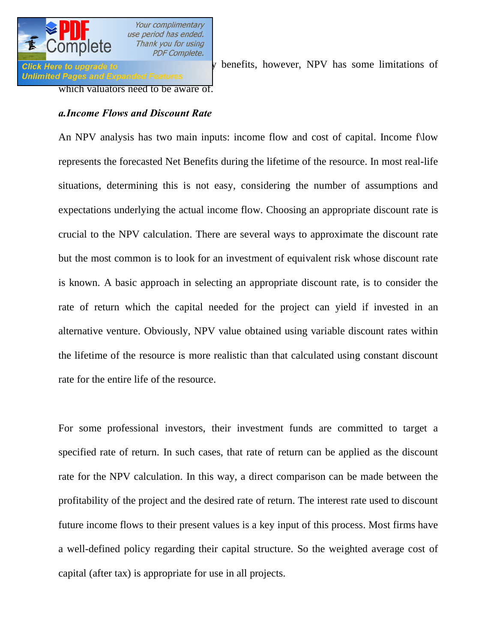

Click Here to upgrade to  $\frac{1}{2}$  is matter its many benefits, however, NPV has some limitations of

which valuators need to be aware of.

### *a.Income Flows and Discount Rate*

An NPV analysis has two main inputs: income flow and cost of capital. Income f\low represents the forecasted Net Benefits during the lifetime of the resource. In most real-life situations, determining this is not easy, considering the number of assumptions and expectations underlying the actual income flow. Choosing an appropriate discount rate is crucial to the NPV calculation. There are several ways to approximate the discount rate but the most common is to look for an investment of equivalent risk whose discount rate is known. A basic approach in selecting an appropriate discount rate, is to consider the rate of return which the capital needed for the project can yield if invested in an alternative venture. Obviously, NPV value obtained using variable discount rates within the lifetime of the resource is more realistic than that calculated using constant discount rate for the entire life of the resource.

For some professional investors, their investment funds are committed to target a specified rate of return. In such cases, that rate of return can be applied as the discount rate for the NPV calculation. In this way, a direct comparison can be made between the profitability of the project and the desired rate of return. The interest rate used to discount future income flows to their present values is a key input of this process. Most firms have a well-defined policy regarding their capital structure. So the weighted average cost of capital (after tax) is appropriate for use in all projects.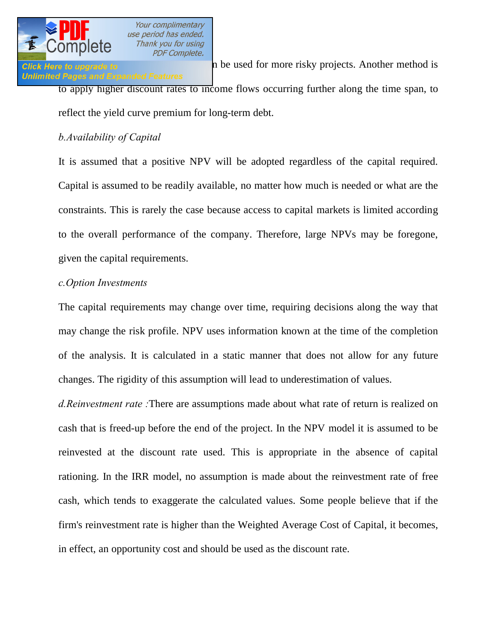

## **Unlimited Pages and Expanded Features**

Click Here to upgrade to **higher discount rates can be used for more risky projects.** Another method is to apply higher discount rates to income flows occurring further along the time span, to

reflect the yield curve premium for long-term debt.

## *b.Availability of Capital*

It is assumed that a positive NPV will be adopted regardless of the capital required. Capital is assumed to be readily available, no matter how much is needed or what are the constraints. This is rarely the case because access to capital markets is limited according to the overall performance of the company. Therefore, large NPVs may be foregone, given the capital requirements.

### *c.Option Investments*

The capital requirements may change over time, requiring decisions along the way that may change the risk profile. NPV uses information known at the time of the completion of the analysis. It is calculated in a static manner that does not allow for any future changes. The rigidity of this assumption will lead to underestimation of values.

*d.Reinvestment rate :*There are assumptions made about what rate of return is realized on cash that is freed-up before the end of the project. In the NPV model it is assumed to be reinvested at the discount rate used. This is appropriate in the absence of capital rationing. In the IRR model, no assumption is made about the reinvestment rate of free cash, which tends to exaggerate the calculated values. Some people believe that if the firm's reinvestment rate is higher than the Weighted Average Cost of Capital, it becomes, in effect, an opportunity cost and should be used as the discount rate.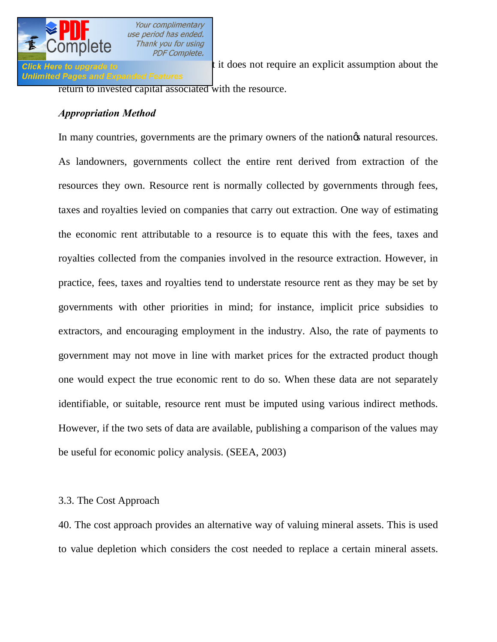

Click Here to upgrade to **the advantage of the intervalse of the intervalse of the click** Here is the click Here is that it does not require an explicit assumption about the return to invested capital associated with the resource.

### *Appropriation Method*

**PDF Complete.** 

In many countries, governments are the primary owners of the nation of natural resources. As landowners, governments collect the entire rent derived from extraction of the resources they own. Resource rent is normally collected by governments through fees, taxes and royalties levied on companies that carry out extraction. One way of estimating the economic rent attributable to a resource is to equate this with the fees, taxes and royalties collected from the companies involved in the resource extraction. However, in practice, fees, taxes and royalties tend to understate resource rent as they may be set by governments with other priorities in mind; for instance, implicit price subsidies to extractors, and encouraging employment in the industry. Also, the rate of payments to government may not move in line with market prices for the extracted product though one would expect the true economic rent to do so. When these data are not separately identifiable, or suitable, resource rent must be imputed using various indirect methods. However, if the two sets of data are available, publishing a comparison of the values may be useful for economic policy analysis. (SEEA, 2003)

### 3.3. The Cost Approach

40. The cost approach provides an alternative way of valuing mineral assets. This is used to value depletion which considers the cost needed to replace a certain mineral assets.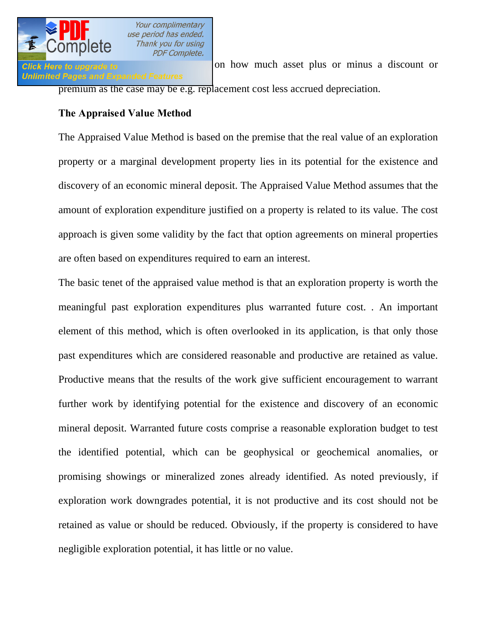

Click Here to upgrade to **Exercise 2018** on how much asset plus or minus a discount or premium as the case may be e.g. replacement cost less accrued depreciation.

### **The Appraised Value Method**

The Appraised Value Method is based on the premise that the real value of an exploration property or a marginal development property lies in its potential for the existence and discovery of an economic mineral deposit. The Appraised Value Method assumes that the amount of exploration expenditure justified on a property is related to its value. The cost approach is given some validity by the fact that option agreements on mineral properties are often based on expenditures required to earn an interest.

The basic tenet of the appraised value method is that an exploration property is worth the meaningful past exploration expenditures plus warranted future cost. . An important element of this method, which is often overlooked in its application, is that only those past expenditures which are considered reasonable and productive are retained as value. Productive means that the results of the work give sufficient encouragement to warrant further work by identifying potential for the existence and discovery of an economic mineral deposit. Warranted future costs comprise a reasonable exploration budget to test the identified potential, which can be geophysical or geochemical anomalies, or promising showings or mineralized zones already identified. As noted previously, if exploration work downgrades potential, it is not productive and its cost should not be retained as value or should be reduced. Obviously, if the property is considered to have negligible exploration potential, it has little or no value.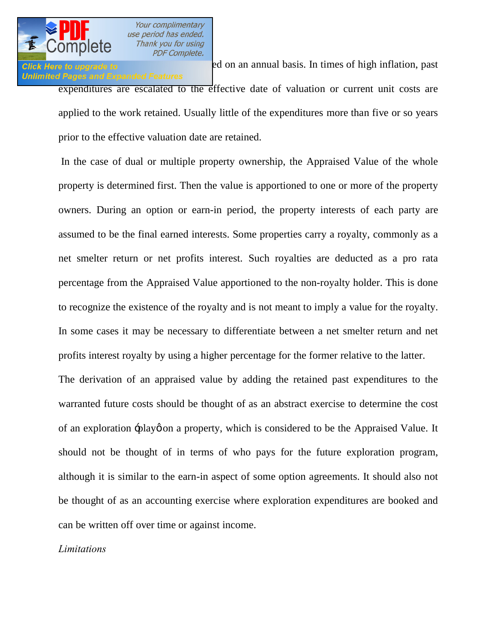

# **Unlimited Pages and Expanded Features**

**Click Here to upgrade to Expenditure and Section** and annual basis. In times of high inflation, past

expenditures are escalated to the effective date of valuation or current unit costs are applied to the work retained. Usually little of the expenditures more than five or so years prior to the effective valuation date are retained.

In the case of dual or multiple property ownership, the Appraised Value of the whole property is determined first. Then the value is apportioned to one or more of the property owners. During an option or earn-in period, the property interests of each party are assumed to be the final earned interests. Some properties carry a royalty, commonly as a net smelter return or net profits interest. Such royalties are deducted as a pro rata percentage from the Appraised Value apportioned to the non-royalty holder. This is done to recognize the existence of the royalty and is not meant to imply a value for the royalty. In some cases it may be necessary to differentiate between a net smelter return and net profits interest royalty by using a higher percentage for the former relative to the latter.

The derivation of an appraised value by adding the retained past expenditures to the warranted future costs should be thought of as an abstract exercise to determine the cost of an exploration  $\div$ play on a property, which is considered to be the Appraised Value. It should not be thought of in terms of who pays for the future exploration program, although it is similar to the earn-in aspect of some option agreements. It should also not be thought of as an accounting exercise where exploration expenditures are booked and can be written off over time or against income.

### *Limitations*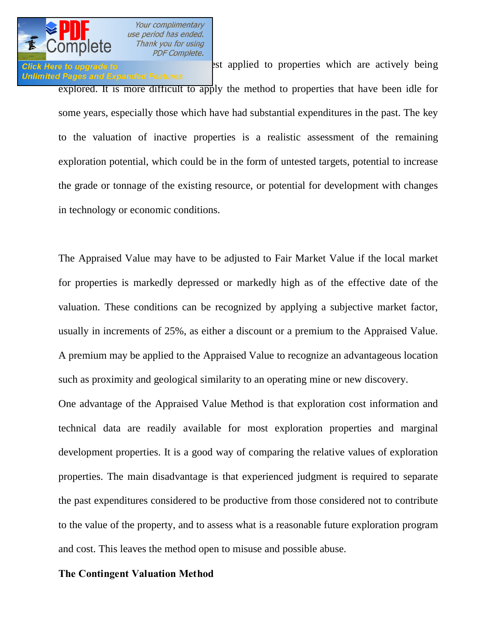

Click Here to upgrade to **Exercise 1986** 2st applied to properties which are actively being **Unlimited Pages and Expanded Features** explored. It is more difficult to apply the method to properties that have been idle for some years, especially those which have had substantial expenditures in the past. The key to the valuation of inactive properties is a realistic assessment of the remaining exploration potential, which could be in the form of untested targets, potential to increase the grade or tonnage of the existing resource, or potential for development with changes in technology or economic conditions.

The Appraised Value may have to be adjusted to Fair Market Value if the local market for properties is markedly depressed or markedly high as of the effective date of the valuation. These conditions can be recognized by applying a subjective market factor, usually in increments of 25%, as either a discount or a premium to the Appraised Value. A premium may be applied to the Appraised Value to recognize an advantageous location such as proximity and geological similarity to an operating mine or new discovery.

One advantage of the Appraised Value Method is that exploration cost information and technical data are readily available for most exploration properties and marginal development properties. It is a good way of comparing the relative values of exploration properties. The main disadvantage is that experienced judgment is required to separate the past expenditures considered to be productive from those considered not to contribute to the value of the property, and to assess what is a reasonable future exploration program and cost. This leaves the method open to misuse and possible abuse.

### **The Contingent Valuation Method**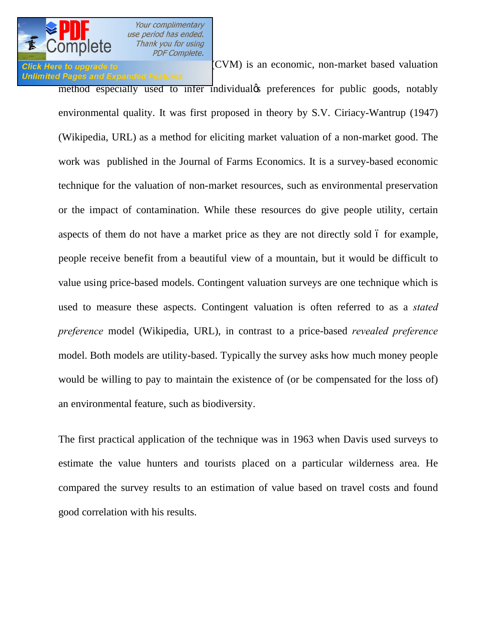Click Here to upgrade to  $(CVM)$  is an economic, non-market based valuation **Unlimited Pages and Expanded Features** 

method especially used to infer individual preferences for public goods, notably environmental quality. It was first proposed in theory by [S.V. Ciriacy-Wantrup](http://en.wikipedia.org/wiki/S.V._Ciriacy-Wantrup) (1947) (Wikipedia, URL) as a method for eliciting market [valuation](http://en.wikipedia.org/wiki/Valuation_%28finance%29) of a non-market [good.](http://en.wikipedia.org/wiki/Good_%28economics%29) The work was published in the Journal of Farms Economics. It is a [survey-](http://en.wikipedia.org/wiki/Statistical_survey)based economic technique for the valuation of non-market resources, such as environmental preservation or the impact of contamination. While these resources do give people [utility,](http://en.wikipedia.org/wiki/Utility) certain aspects of them do not have a [market price](http://en.wikipedia.org/wiki/Market_price) as they are not directly sold 6 for example, people receive benefit from a beautiful view of a mountain, but it would be difficult to value using price-based models. Contingent valuation surveys are one technique which is used to measure these aspects. Contingent valuation is often referred to as a *stated preference* model (Wikipedia, URL), in contrast to a price-based *[revealed preference](http://en.wikipedia.org/wiki/Revealed_preference)* model. Both models are utility-based. Typically the survey asks how much money people would be willing to pay to maintain the existence of (or be compensated for the loss of) an environmental feature, such as biodiversity.

The first practical application of the technique was in 1963 when Davis used surveys to estimate the value hunters and tourists placed on a particular wilderness area. He compared the survey results to an estimation of value based on travel costs and found good correlation with his results.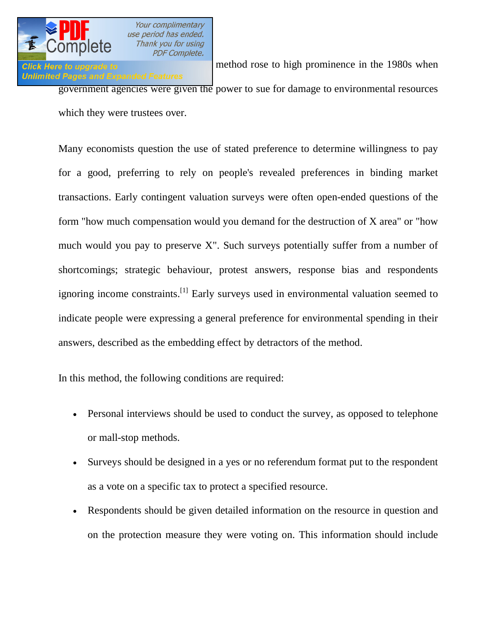

Click Here to upgrade to Wikipedia (URL), the method rose to high prominence in the 1980s when **Unlimited Pages and Expanded Features** government agencies were given the power to sue for damage to environmental resources which they were trustees over.

Many economists question the use of stated preference to determine [willingness to pay](http://en.wikipedia.org/wiki/Willingness_to_pay) for a good, preferring to rely on people's [revealed preferences](http://en.wikipedia.org/wiki/Revealed_preference) in binding market transactions. Early contingent valuation surveys were often open-ended questions of the form "how much compensation would you demand for the destruction of X area" or "how much would you pay to preserve X". Such surveys potentially suffer from a number of shortcomings; strategic behaviour, protest answers, [response bias](http://en.wikipedia.org/wiki/Response_bias) and respondents ignoring income constraints.<sup>[\[1\]](http://en.wikipedia.org/wiki/Contingent_valuation)</sup> Early surveys used in environmental valuation seemed to indicate people were expressing a general preference for environmental spending in their answers, described as the [embedding effect](http://en.wikipedia.org/wiki/Embedding_effect) by detractors of the method.

In this method, the following conditions are required:

- Personal interviews should be used to conduct the survey, as opposed to telephone or mall-stop methods.
- · Surveys should be designed in a yes or no referendum format put to the respondent as a vote on a specific tax to protect a specified resource.
- · Respondents should be given detailed information on the resource in question and on the protection measure they were voting on. This information should include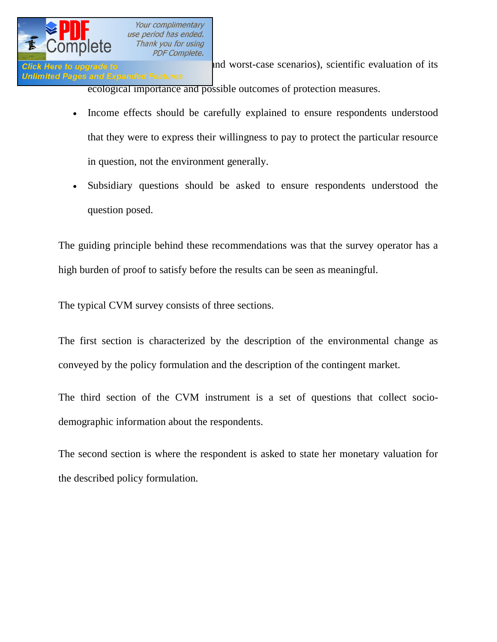

Click Here to upgrade to  $\qquad$  and worst-case scenarios), scientific evaluation of its **Unlimited Pages and Expanded Features** ecological importance and possible outcomes of protection measures.

- · Income effects should be carefully explained to ensure respondents understood that they were to express their willingness to pay to protect the particular resource in question, not the environment generally.
- · Subsidiary questions should be asked to ensure respondents understood the question posed.

The guiding principle behind these recommendations was that the survey operator has a high [burden of proof](http://en.wikipedia.org/wiki/Legal_burden_of_proof) to satisfy before the results can be seen as meaningful.

The typical CVM survey consists of three sections.

The first section is characterized by the description of the environmental change as conveyed by the policy formulation and the description of the contingent market.

The third section of the CVM instrument is a set of questions that collect sociodemographic information about the respondents.

The second section is where the respondent is asked to state her monetary valuation for the described policy formulation.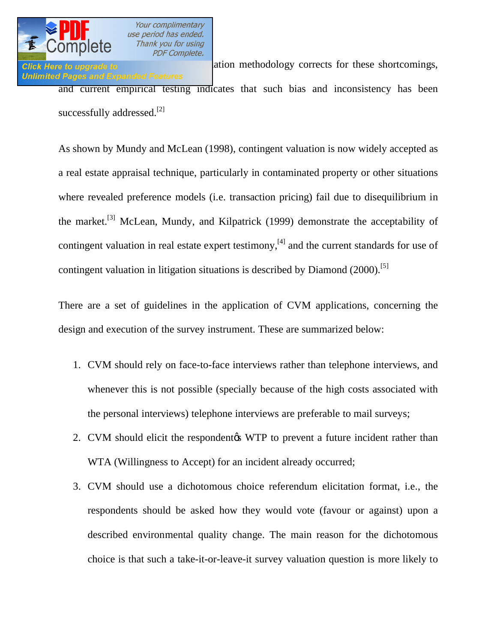Click Here to upgrade to **Result, current values** ation methodology corrects for these shortcomings, **Unlimited Pages and Expanded Features** and current empirical testing indicates that such bias and inconsistency has been successfully addressed.<sup>[[2\]](http://en.wikipedia.org/wiki/Contingent_valuation)</sup>

As shown by Mundy and McLean (1998), contingent valuation is now widely accepted as a [real estate appraisal](http://en.wikipedia.org/wiki/Real_estate_appraisal) technique, particularly in contaminated property or other situations where revealed preference models (i.e. transaction pricing) fail due to disequilibrium in the market.[\[3\]](http://en.wikipedia.org/wiki/Contingent_valuation) McLean, Mundy, and Kilpatrick (1999) demonstrate the acceptability of contingent valuation in real estate expert testimony,<sup>[\[4\]](http://en.wikipedia.org/wiki/Contingent_valuation)</sup> and the current standards for use of contingent valuation in litigation situations is described by Diamond (2000).<sup>[5[\]](http://en.wikipedia.org/wiki/Contingent_valuation)</sup>

There are a set of guidelines in the application of CVM applications, concerning the design and execution of the survey instrument. These are summarized below:

- 1. CVM should rely on face-to-face interviews rather than telephone interviews, and whenever this is not possible (specially because of the high costs associated with the personal interviews) telephone interviews are preferable to mail surveys;
- 2. CVM should elicit the respondentos WTP to prevent a future incident rather than WTA (Willingness to Accept) for an incident already occurred;
- 3. CVM should use a dichotomous choice referendum elicitation format, i.e., the respondents should be asked how they would vote (favour or against) upon a described environmental quality change. The main reason for the dichotomous choice is that such a take-it-or-leave-it survey valuation question is more likely to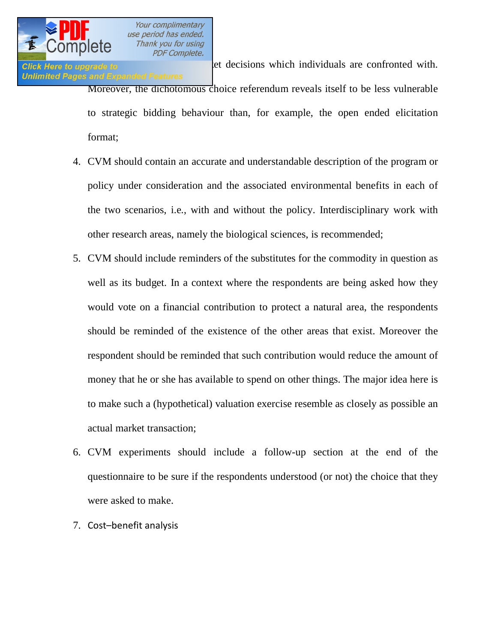**Click Here to upgrade to real data and decisions** which individuals are confronted with. **Unlimited Pages and Expanded Features** Moreover, the dichotomous choice referendum reveals itself to be less vulnerable to strategic bidding behaviour than, for example, the open ended elicitation format;

- 4. CVM should contain an accurate and understandable description of the program or policy under consideration and the associated environmental benefits in each of the two scenarios, i.e., with and without the policy. Interdisciplinary work with other research areas, namely the biological sciences, is recommended;
- 5. CVM should include reminders of the substitutes for the commodity in question as well as its budget. In a context where the respondents are being asked how they would vote on a financial contribution to protect a natural area, the respondents should be reminded of the existence of the other areas that exist. Moreover the respondent should be reminded that such contribution would reduce the amount of money that he or she has available to spend on other things. The major idea here is to make such a (hypothetical) valuation exercise resemble as closely as possible an actual market transaction;
- 6. CVM experiments should include a follow-up section at the end of the questionnaire to be sure if the respondents understood (or not) the choice that they were asked to make.
- 7. Cost–benefit analysis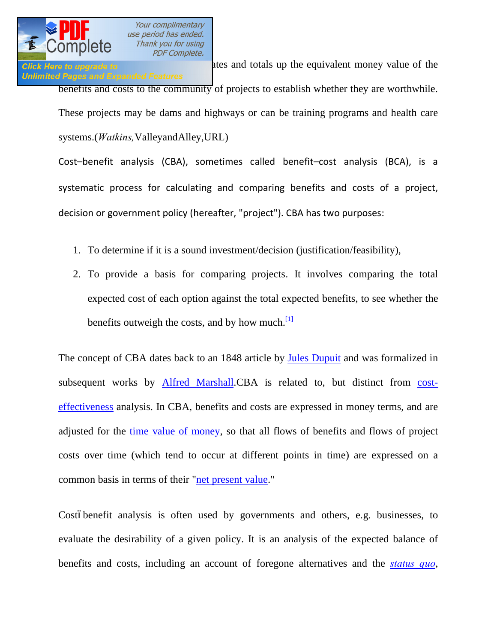# **Unlimited Pages and Expanded Features**

Click Here to upgrade to **EXA)** ates and totals up the equivalent money value of the benefits and costs to the community of projects to establish whether they are worthwhile. These projects may be dams and highways or can be training programs and health care systems.(*Watkins,*ValleyandAlley,URL)

Cost–benefit analysis (CBA), sometimes called benefit–cost analysis (BCA), is a systematic process for calculating and comparing benefits and costs of a project, decision or government policy (hereafter, "project"). CBA has two purposes:

- 1. To determine if it is a sound investment/decision (justification/feasibility),
- 2. To provide a basis for comparing projects. It involves comparing the total expected cost of each option against the total expected benefits, to see whether the benefits outweigh the costs, and by how much. $\frac{11}{1}$

The concept of CBA dates back to an 1848 article by [Jules Dupuit](http://en.wikipedia.org/wiki/Jules_Dupuit) and was formalized in subsequent works by [Alfred Marshall.C](http://en.wikipedia.org/wiki/Alfred_Marshall)BA is related to, but distinct from [cost](http://en.wikipedia.org/wiki/Cost-effectiveness)[effectiveness](http://en.wikipedia.org/wiki/Cost-effectiveness) analysis. In CBA, benefits and costs are expressed in money terms, and are adjusted for the [time value of money,](http://en.wikipedia.org/wiki/Time_value_of_money) so that all flows of benefits and flows of project costs over time (which tend to occur at different points in time) are expressed on a common basis in terms of their "[net present value."](http://en.wikipedia.org/wiki/Net_present_value)

Costóbenefit analysis is often used by governments and others, e.g. businesses, to evaluate the desirability of a given policy. It is an analysis of the expected balance of benefits and costs, including an account of foregone alternatives and the *[status quo](http://en.wikipedia.org/wiki/Status_quo)*,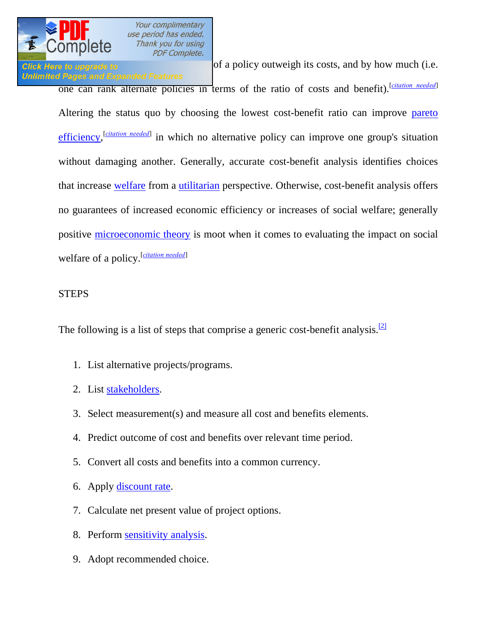

**Unlimited Pages and Expanded Features** 

**Click Here to upgrade to help** predict when **predicts** of a policy outweigh its costs, and by how much (i.e.

one can rank alternate policies in terms of the ratio of costs and benefit). [*[citation needed](http://en.wikipedia.org/wiki/Wikipedia:Citation_needed)*] Altering the status quo by choosing the lowest cost-benefit ratio can improve [pareto](http://en.wikipedia.org/wiki/Pareto_efficiency)  [efficiency,](http://en.wikipedia.org/wiki/Pareto_efficiency) <sup>[[citation needed](http://en.wikipedia.org/wiki/Wikipedia:Citation_needed)]</sup> in which no alternative policy can improve one group's situation without damaging another. Generally, accurate cost-benefit analysis identifies choices that increase [welfare](http://en.wikipedia.org/wiki/Welfare) from a [utilitarian](http://en.wikipedia.org/wiki/Utilitarian) perspective. Otherwise, cost-benefit analysis offers no guarantees of increased economic efficiency or increases of social welfare; generally positive [microeconomic theory](http://en.wikipedia.org/wiki/Microeconomic_theory) is moot when it comes to evaluating the impact on social welfare of a policy.[*[citation needed](http://en.wikipedia.org/wiki/Wikipedia:Citation_needed)*]

### STEPS

The following is a list of steps that comprise a generic cost-benefit analysis.<sup>[[2\]](http://en.wikipedia.org/wiki/Cost%E2%80%93benefit_analysis)</sup>

- 1. List alternative projects/programs.
- 2. List [stakeholders.](http://en.wikipedia.org/wiki/Stakeholder_%28corporate%29)
- 3. Select measurement(s) and measure all cost and benefits elements.
- 4. Predict outcome of cost and benefits over relevant time period.
- 5. Convert all costs and benefits into a common currency.
- 6. Apply [discount rate.](http://en.wikipedia.org/wiki/Discount_rate)
- 7. Calculate net present value of project options.
- 8. Perform [sensitivity analysis.](http://en.wikipedia.org/wiki/Sensitivity_analysis)
- 9. Adopt recommended choice.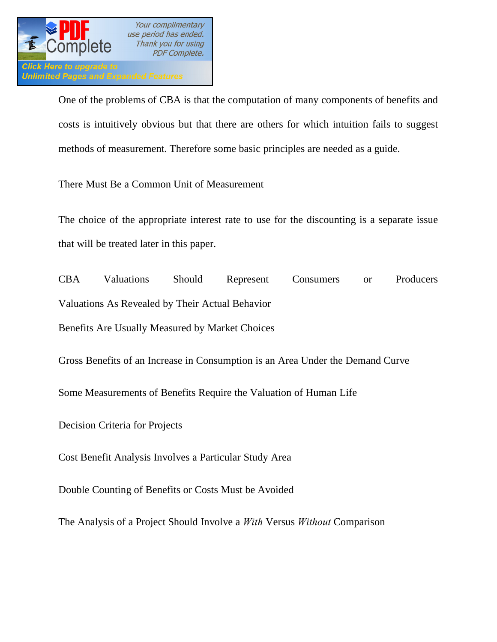

One of the problems of CBA is that the computation of many components of benefits and costs is intuitively obvious but that there are others for which intuition fails to suggest methods of measurement. Therefore some basic principles are needed as a guide.

There Must Be a Common Unit of Measurement

The choice of the appropriate interest rate to use for the discounting is a separate issue that will be treated later in this paper.

CBA Valuations Should Represent Consumers or Producers Valuations As Revealed by Their Actual Behavior Benefits Are Usually Measured by Market Choices

Gross Benefits of an Increase in Consumption is an Area Under the Demand Curve

Some Measurements of Benefits Require the Valuation of Human Life

Decision Criteria for Projects

Cost Benefit Analysis Involves a Particular Study Area

Double Counting of Benefits or Costs Must be Avoided

The Analysis of a Project Should Involve a *With* Versus *Without* Comparison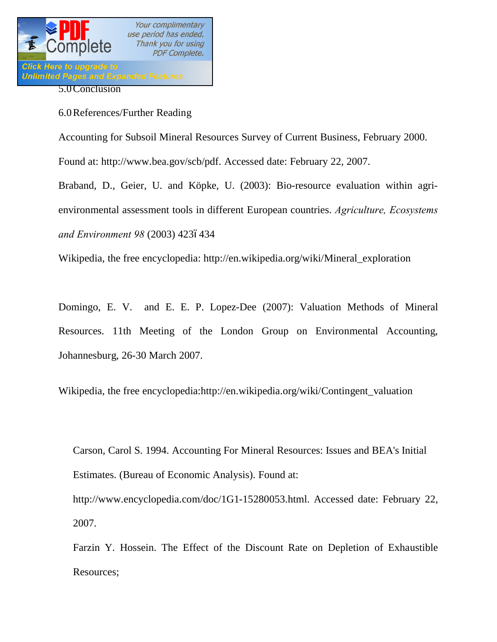

6.0References/Further Reading

Accounting for Subsoil Mineral Resources Survey of Current Business, February 2000.

Found at: http://www.bea.gov/scb/pdf. Accessed date: February 22, 2007.

Braband, D., Geier, U. and Köpke, U. (2003): Bio-resource evaluation within agrienvironmental assessment tools in different European countries. *Agriculture, Ecosystems and Environment 98 (2003) 4236434* 

Wikipedia, the free encyclopedia: http://en.wikipedia.org/wiki/Mineral\_exploration

Domingo, E. V. and E. E. P. Lopez-Dee (2007): Valuation Methods of Mineral Resources. 11th Meeting of the London Group on Environmental Accounting, Johannesburg, 26-30 March 2007.

Wikipedia, the free encyclopedia:http://en.wikipedia.org/wiki/Contingent\_valuation

Carson, Carol S. 1994. Accounting For Mineral Resources: Issues and BEA's Initial Estimates. (Bureau of Economic Analysis). Found at:

http://www.encyclopedia.com/doc/1G1-15280053.html. Accessed date: February 22, 2007.

Farzin Y. Hossein. The Effect of the Discount Rate on Depletion of Exhaustible Resources;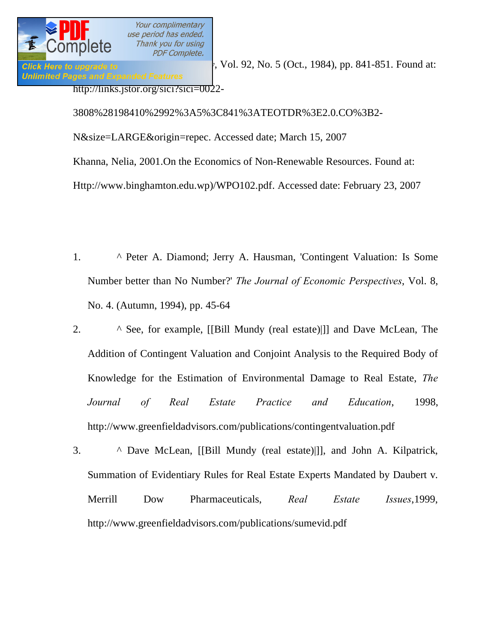*Click Here to upgrade to*  $\blacksquare$ , Vol. 92, No. 5 (Oct., 1984), pp. 841-851. Found at: **Unlimited Pages and Expanded Features** http://links.jstor.org/sici?sici=0022-

> 3808%28198410%2992%3A5%3C841%3ATEOTDR%3E2.0.CO%3B2- N&size=LARGE&origin=repec. Accessed date; March 15, 2007 Khanna, Nelia, 2001.On the Economics of Non-Renewable Resources. Found at: Http://www.binghamton.edu.wp)/WPO102.pdf. Accessed date: February 23, 2007

- 1. [^](http://en.wikipedia.org/wiki/Contingent_valuation) Peter A. Diamond; Jerry A. Hausman, 'Contingent Valuation: Is Some Number better than No Number?' *The Journal of Economic Perspectives*, Vol. 8, No. 4. (Autumn, 1994), pp. 45-64
- 2. [^](http://en.wikipedia.org/wiki/Contingent_valuation) See, for example, [[Bill Mundy (real estate)|]] and Dave McLean, The Addition of Contingent Valuation and Conjoint Analysis to the Required Body of Knowledge for the Estimation of Environmental Damage to Real Estate, *The Journal of Real Estate Practice and Education*, 1998, <http://www.greenfieldadvisors.com/publications/contingentvaluation.pdf>
- 3. [^](http://en.wikipedia.org/wiki/Contingent_valuation) Dave McLean, [[Bill Mundy (real estate)|]], and [John A. Kilpatrick,](http://en.wikipedia.org/w/index.php?title=John_A._Kilpatrick&action=edit&redlink=1) Summation of Evidentiary Rules for Real Estate Experts Mandated by Daubert v. Merrill Dow Pharmaceuticals, *Real Estate Issues*,1999, <http://www.greenfieldadvisors.com/publications/sumevid.pdf>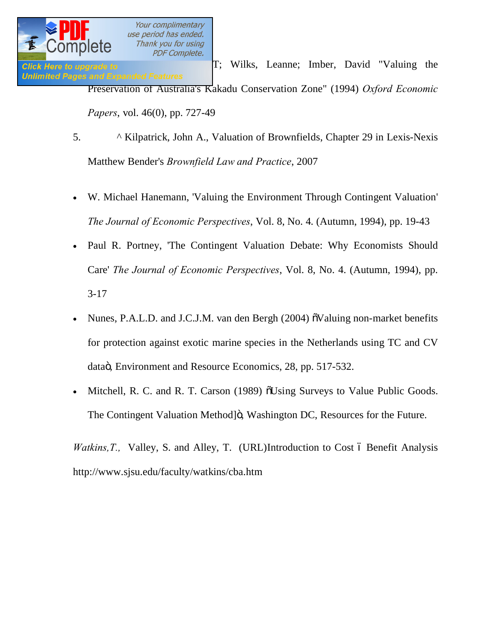**Click Here to upgrade to** T; Wilks, Leanne; Imber, David "Valuing the **Unlimited Pages and Expanded Features** Preservation of Australia's Kakadu Conservation Zone" (1994) *Oxford Economic Papers*, vol. 46(0), pp. 727-49

- 5. [^](http://en.wikipedia.org/wiki/Contingent_valuation) [Kilpatrick, John A.,](http://en.wikipedia.org/w/index.php?title=John_A._Kilpatrick&action=edit&redlink=1) Valuation of Brownfields, Chapter 29 in [Lexis-Nexis](http://en.wikipedia.org/wiki/Lexis-Nexis) Matthew Bender's *Brownfield Law and Practice*, 2007
- · W. Michael Hanemann, 'Valuing the Environment Through Contingent Valuation' *The Journal of Economic Perspectives*, Vol. 8, No. 4. (Autumn, 1994), pp. 19-43
- Paul R. Portney, 'The Contingent Valuation Debate: Why Economists Should Care' *The Journal of Economic Perspectives*, Vol. 8, No. 4. (Autumn, 1994), pp. 3-17
- Nunes, P.A.L.D. and J.C.J.M. van den Bergh (2004)  $\delta$ Valuing non-market benefits for protection against exotic marine species in the Netherlands using TC and CV dataö, Environment and Resource Economics, 28, pp. 517-532.
- Mitchell, R. C. and R. T. Carson (1989)  $\delta$ Using Surveys to Value Public Goods. The Contingent Valuation Method]ö, Washington DC, Resources for the Future.

*Watkins, T., Valley, S. and Alley, T. (URL)Introduction to Cost 6 Benefit Analysis* http://www.sjsu.edu/faculty/watkins/cba.htm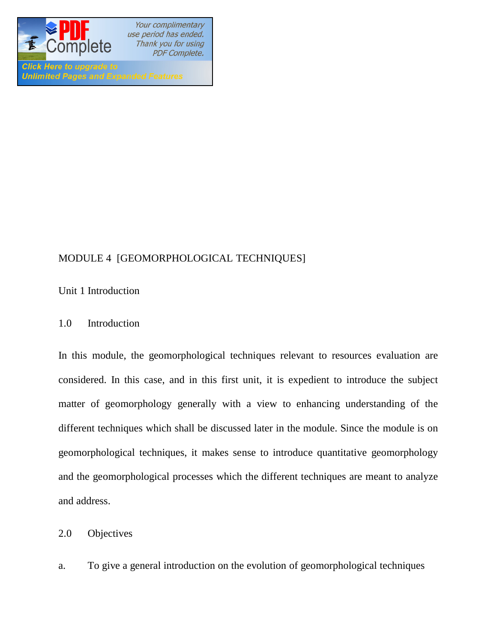

**Unlimited Pages and Expanded Features** 

Your complimentary use period has ended. Thank you for using **PDF Complete.** 

# MODULE 4 [GEOMORPHOLOGICAL TECHNIQUES]

Unit 1 Introduction

1.0 Introduction

In this module, the geomorphological techniques relevant to resources evaluation are considered. In this case, and in this first unit, it is expedient to introduce the subject matter of geomorphology generally with a view to enhancing understanding of the different techniques which shall be discussed later in the module. Since the module is on geomorphological techniques, it makes sense to introduce quantitative geomorphology and the geomorphological processes which the different techniques are meant to analyze and address.

2.0 Objectives

a. To give a general introduction on the evolution of geomorphological techniques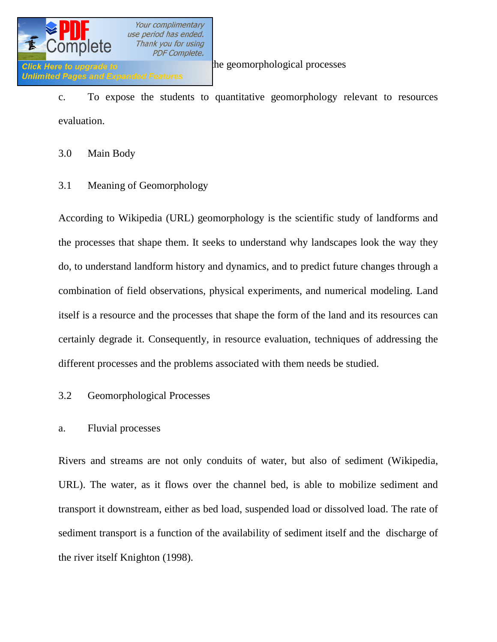

c. To expose the students to quantitative geomorphology relevant to resources evaluation.

3.0 Main Body

3.1 Meaning of Geomorphology

According to Wikipedia (URL) geomorphology is the scientific study of landforms and the processes that shape them. It seeks to understand why landscapes look the way they do, to understand landform history and dynamics, and to predict future changes through a combination of field observations, physical experiments, and numerical modeling. Land itself is a resource and the processes that shape the form of the land and its resources can certainly degrade it. Consequently, in resource evaluation, techniques of addressing the different processes and the problems associated with them needs be studied.

3.2 Geomorphological Processes

### a. Fluvial processes

Rivers and streams are not only conduits of water, but also of sediment (Wikipedia, URL). The water, as it flows over the channel bed, is able to mobilize sediment and transport it downstream, either as bed load, suspended load or dissolved load. The rate of sediment transport is a function of the availability of sediment itself and the discharge of the river itself Knighton (1998).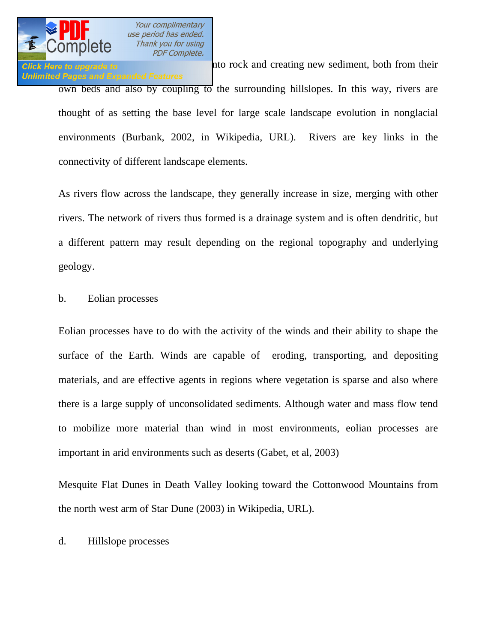

Click Here to upgrade to **EXECL** into rock and creating new sediment, both from their **Unlimited Pages and Expanded Features** own beds and also by coupling to the surrounding hillslopes. In this way, rivers are thought of as setting the base level for large scale landscape evolution in nonglacial environments (Burbank, 2002, in Wikipedia, URL). Rivers are key links in the connectivity of different landscape elements.

As rivers flow across the landscape, they generally increase in size, merging with other rivers. The network of rivers thus formed is a drainage system and is often dendritic, but a different pattern may result depending on the regional topography and underlying geology.

### b. Eolian processes

Eolian processes have to do with the activity of the winds and their ability to shape the surface of the Earth. Winds are capable of eroding, transporting, and depositing materials, and are effective agents in regions where vegetation is sparse and also where there is a large supply of unconsolidated sediments. Although water and mass flow tend to mobilize more material than wind in most environments, eolian processes are important in arid environments such as deserts (Gabet, et al, 2003)

Mesquite Flat Dunes in Death Valley looking toward the Cottonwood Mountains from the north west arm of Star Dune (2003) in Wikipedia, URL).

### d. Hillslope processes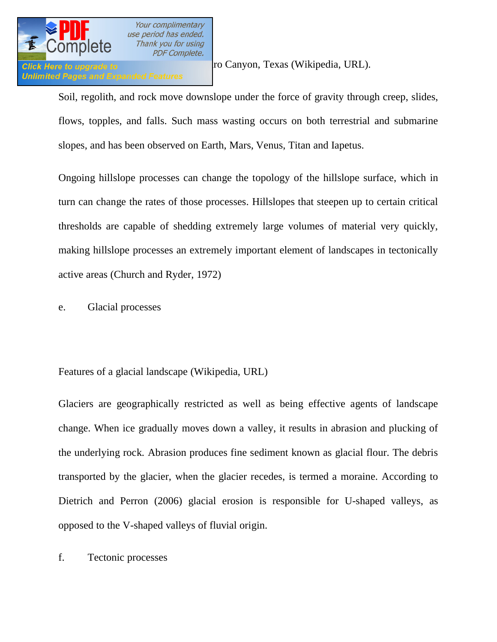

Click Here to upgrade to **Example 2018** To Canyon, Texas (Wikipedia, URL).

Soil, regolith, and rock move downslope under the force of gravity through creep, slides, flows, topples, and falls. Such mass wasting occurs on both terrestrial and submarine slopes, and has been observed on Earth, Mars, Venus, Titan and Iapetus.

Ongoing hillslope processes can change the topology of the hillslope surface, which in turn can change the rates of those processes. Hillslopes that steepen up to certain critical thresholds are capable of shedding extremely large volumes of material very quickly, making hillslope processes an extremely important element of landscapes in tectonically active areas (Church and Ryder, 1972)

e. Glacial processes

Features of a glacial landscape (Wikipedia, URL)

Glaciers are geographically restricted as well as being effective agents of landscape change. When ice gradually moves down a valley, it results in abrasion and plucking of the underlying rock. Abrasion produces fine sediment known as glacial flour. The debris transported by the glacier, when the glacier recedes, is termed a moraine. According to Dietrich and Perron (2006) glacial erosion is responsible for U-shaped valleys, as opposed to the V-shaped valleys of fluvial origin.

f. Tectonic processes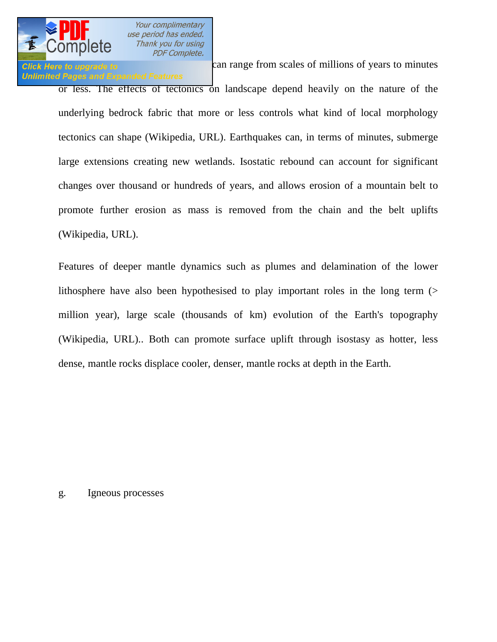

# **Unlimited Pages and Expanded Features**

Click Here to upgrade to **Exercise 2018** can range from scales of millions of years to minutes

or less. The effects of tectonics on landscape depend heavily on the nature of the underlying bedrock fabric that more or less controls what kind of local morphology tectonics can shape (Wikipedia, URL). Earthquakes can, in terms of minutes, submerge large extensions creating new wetlands. Isostatic rebound can account for significant changes over thousand or hundreds of years, and allows erosion of a mountain belt to promote further erosion as mass is removed from the chain and the belt uplifts (Wikipedia, URL).

Features of deeper mantle dynamics such as plumes and delamination of the lower lithosphere have also been hypothesised to play important roles in the long term (> million year), large scale (thousands of km) evolution of the Earth's topography (Wikipedia, URL).. Both can promote surface uplift through isostasy as hotter, less dense, mantle rocks displace cooler, denser, mantle rocks at depth in the Earth.

### g. Igneous processes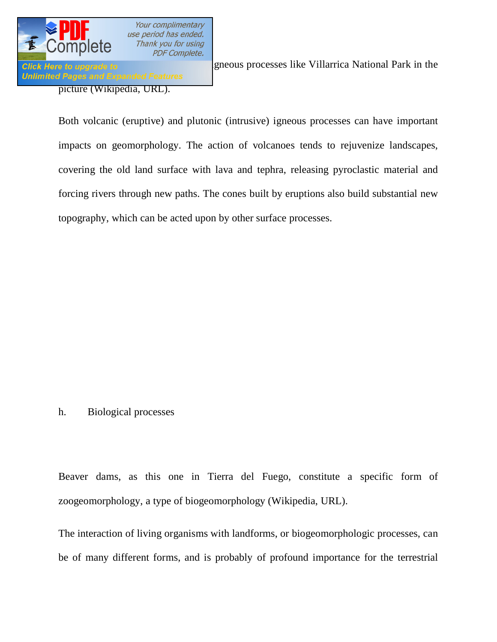

picture (Wikipedia, URL).

Click Here to upgrade to **Some landscape in the landscape of the Villarrica** National Park in the

Both volcanic (eruptive) and plutonic (intrusive) igneous processes can have important impacts on geomorphology. The action of volcanoes tends to rejuvenize landscapes, covering the old land surface with lava and tephra, releasing pyroclastic material and forcing rivers through new paths. The cones built by eruptions also build substantial new topography, which can be acted upon by other surface processes.

### h. Biological processes

Beaver dams, as this one in Tierra del Fuego, constitute a specific form of zoogeomorphology, a type of biogeomorphology (Wikipedia, URL).

The interaction of living organisms with landforms, or biogeomorphologic processes, can be of many different forms, and is probably of profound importance for the terrestrial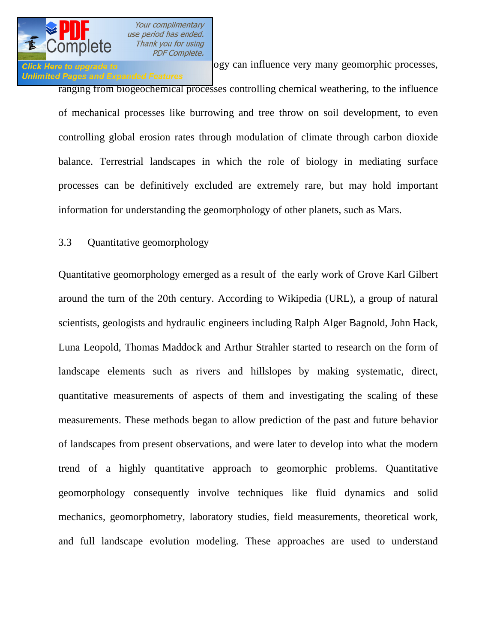

# **Unlimited Pages and Expanded Features**

Glick Here to upgrade to **Biology** can influence very many geomorphic processes,

ranging from biogeochemical processes controlling chemical weathering, to the influence of mechanical processes like burrowing and tree throw on soil development, to even controlling global erosion rates through modulation of climate through carbon dioxide balance. Terrestrial landscapes in which the role of biology in mediating surface processes can be definitively excluded are extremely rare, but may hold important information for understanding the geomorphology of other planets, such as Mars.

### 3.3 Quantitative geomorphology

Quantitative geomorphology emerged as a result of the early work of Grove Karl Gilbert around the turn of the 20th century. According to Wikipedia (URL), a group of natural scientists, geologists and hydraulic engineers including Ralph Alger Bagnold, John Hack, Luna Leopold, Thomas Maddock and Arthur Strahler started to research on the form of landscape elements such as rivers and hillslopes by making systematic, direct, quantitative measurements of aspects of them and investigating the scaling of these measurements. These methods began to allow prediction of the past and future behavior of landscapes from present observations, and were later to develop into what the modern trend of a highly quantitative approach to geomorphic problems. Quantitative geomorphology consequently involve techniques like fluid dynamics and solid mechanics, geomorphometry, laboratory studies, field measurements, theoretical work, and full landscape evolution modeling. These approaches are used to understand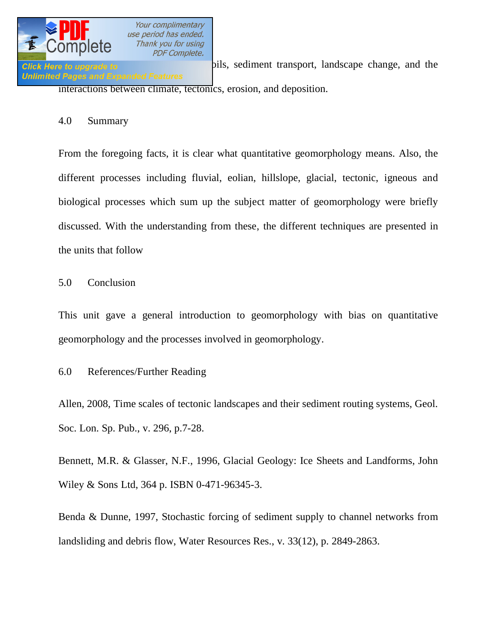

**Click Here to upgrade to solution of solution of solution** of solution of solution of solution of solution of solution of solution of solution of the formation of solution of solution of the solution of the solution of th interactions between climate, tectonics, erosion, and deposition.

### 4.0 Summary

From the foregoing facts, it is clear what quantitative geomorphology means. Also, the different processes including fluvial, eolian, hillslope, glacial, tectonic, igneous and biological processes which sum up the subject matter of geomorphology were briefly discussed. With the understanding from these, the different techniques are presented in the units that follow

5.0 Conclusion

This unit gave a general introduction to geomorphology with bias on quantitative geomorphology and the processes involved in geomorphology.

6.0 References/Further Reading

Allen, 2008, Time scales of tectonic landscapes and their sediment routing systems, Geol. Soc. Lon. Sp. Pub., v. 296, p.7-28.

Bennett, M.R. & Glasser, N.F., 1996, Glacial Geology: Ice Sheets and Landforms, John Wiley & Sons Ltd, 364 p. ISBN 0-471-96345-3.

Benda & Dunne, 1997, Stochastic forcing of sediment supply to channel networks from landsliding and debris flow, Water Resources Res., v. 33(12), p. 2849-2863.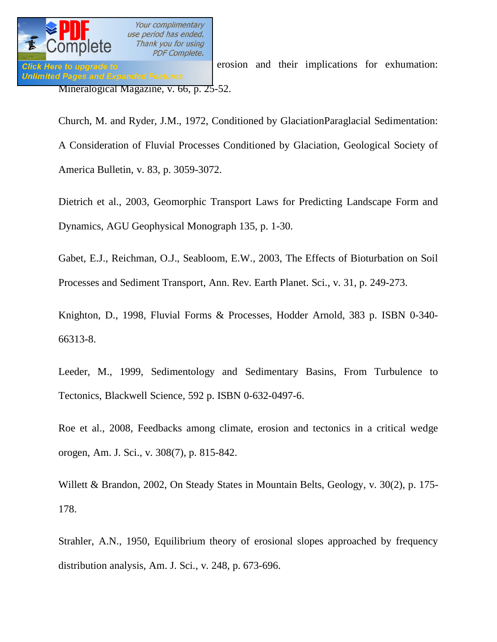

Click Here to upgrade to **Exercise 2003** erosion and their implications for exhumation: Mineralogical Magazine, v. 66, p. 25-52.

Church, M. and Ryder, J.M., 1972, Conditioned by GlaciationParaglacial Sedimentation: A Consideration of Fluvial Processes Conditioned by Glaciation, Geological Society of America Bulletin, v. 83, p. 3059-3072.

Dietrich et al., 2003, Geomorphic Transport Laws for Predicting Landscape Form and Dynamics, AGU Geophysical Monograph 135, p. 1-30.

Gabet, E.J., Reichman, O.J., Seabloom, E.W., 2003, The Effects of Bioturbation on Soil Processes and Sediment Transport, Ann. Rev. Earth Planet. Sci., v. 31, p. 249-273.

Knighton, D., 1998, Fluvial Forms & Processes, Hodder Arnold, 383 p. ISBN 0-340- 66313-8.

Leeder, M., 1999, Sedimentology and Sedimentary Basins, From Turbulence to Tectonics, Blackwell Science, 592 p. ISBN 0-632-0497-6.

Roe et al., 2008, Feedbacks among climate, erosion and tectonics in a critical wedge orogen, Am. J. Sci., v. 308(7), p. 815-842.

Willett & Brandon, 2002, On Steady States in Mountain Belts, Geology, v. 30(2), p. 175- 178.

Strahler, A.N., 1950, Equilibrium theory of erosional slopes approached by frequency distribution analysis, Am. J. Sci., v. 248, p. 673-696.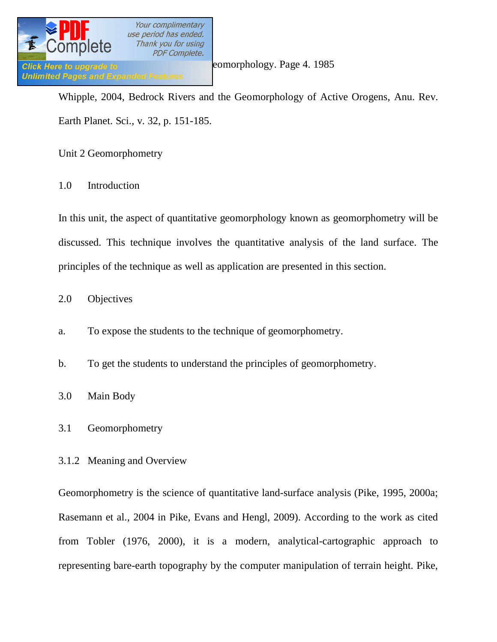

Whipple, 2004, Bedrock Rivers and the Geomorphology of Active Orogens, Anu. Rev. Earth Planet. Sci., v. 32, p. 151-185.

Unit 2 Geomorphometry

1.0 Introduction

In this unit, the aspect of quantitative geomorphology known as geomorphometry will be discussed. This technique involves the quantitative analysis of the land surface. The principles of the technique as well as application are presented in this section.

### 2.0 Objectives

a. To expose the students to the technique of geomorphometry.

b. To get the students to understand the principles of geomorphometry.

3.0 Main Body

3.1 Geomorphometry

### 3.1.2 Meaning and Overview

Geomorphometry is the science of quantitative land-surface analysis (Pike, 1995, 2000a; Rasemann et al., 2004 in Pike, Evans and Hengl, 2009). According to the work as cited from Tobler (1976, 2000), it is a modern, analytical-cartographic approach to representing bare-earth topography by the computer manipulation of terrain height. Pike,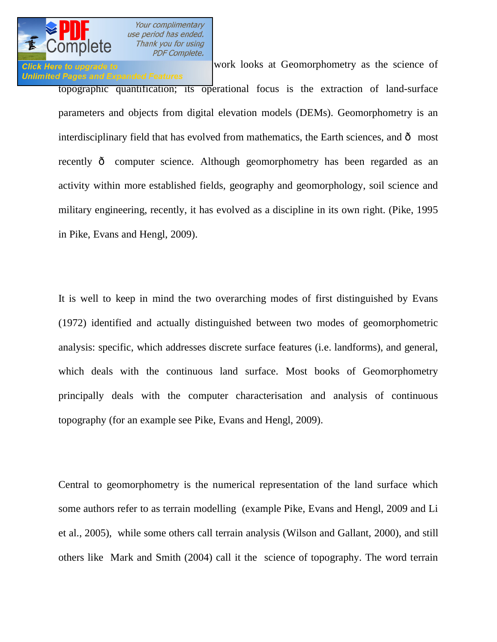

# **Unlimited Pages and Expanded Features**

Click Here to upgrade to **Evan Struck Lines and Hengle, and Hengle** work looks at Geomorphometry as the science of topographic quantification; its operational focus is the extraction of land-surface parameters and objects from digital elevation models (DEMs). Geomorphometry is an interdisciplinary field that has evolved from mathematics, the Earth sciences, and  $\hat{o}$  most recently  $\hat{o}$  computer science. Although geomorphometry has been regarded as an activity within more established fields, geography and geomorphology, soil science and military engineering, recently, it has evolved as a discipline in its own right. (Pike, 1995 in Pike, Evans and Hengl, 2009).

It is well to keep in mind the two overarching modes of first distinguished by Evans (1972) identified and actually distinguished between two modes of geomorphometric analysis: specific, which addresses discrete surface features (i.e. landforms), and general, which deals with the continuous land surface. Most books of Geomorphometry principally deals with the computer characterisation and analysis of continuous topography (for an example see Pike, Evans and Hengl, 2009).

Central to geomorphometry is the numerical representation of the land surface which some authors refer to as terrain modelling (example Pike, Evans and Hengl, 2009 and Li et al., 2005), while some others call terrain analysis (Wilson and Gallant, 2000), and still others like Mark and Smith (2004) call it the science of topography. The word terrain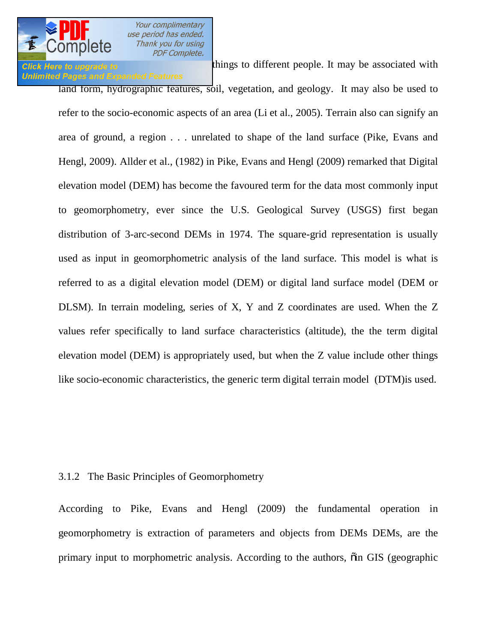

### **Click Here to upgrade to mean different things to different people. It may be associated with Unlimited Pages and Expanded Features**

land form, hydrographic features, soil, vegetation, and geology. It may also be used to refer to the socio-economic aspects of an area (Li et al., 2005). Terrain also can signify an area of ground, a region . . . unrelated to shape of the land surface (Pike, Evans and Hengl, 2009). Allder et al., (1982) in Pike, Evans and Hengl (2009) remarked that Digital elevation model (DEM) has become the favoured term for the data most commonly input to geomorphometry, ever since the U.S. Geological Survey (USGS) first began distribution of 3-arc-second DEMs in 1974. The square-grid representation is usually used as input in geomorphometric analysis of the land surface. This model is what is referred to as a digital elevation model (DEM) or digital land surface model (DEM or DLSM). In terrain modeling, series of X, Y and Z coordinates are used. When the Z values refer specifically to land surface characteristics (altitude), the the term digital elevation model (DEM) is appropriately used, but when the Z value include other things like socio-economic characteristics, the generic term digital terrain model (DTM)is used.

### 3.1.2 The Basic Principles of Geomorphometry

According to Pike, Evans and Hengl (2009) the fundamental operation in geomorphometry is extraction of parameters and objects from DEMs DEMs, are the primary input to morphometric analysis. According to the authors,  $\ddot{\text{o}}$  in GIS (geographic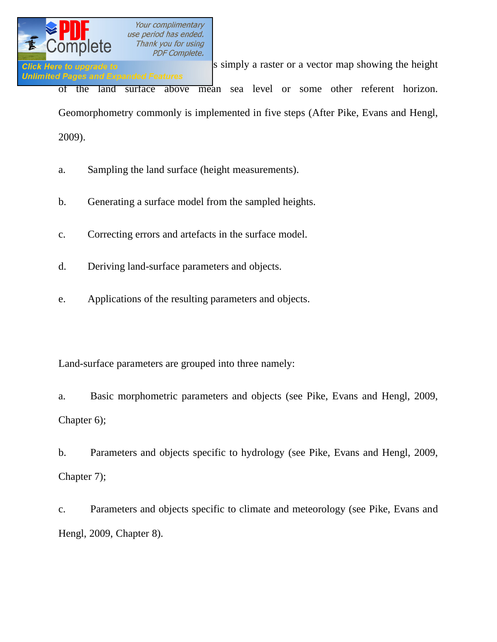

**Click Here to upgrade to information system** is simply a raster or a vector map showing the height **Unlimited Pages and Expanded Features** of the land surface above mean sea level or some other referent horizon.

Geomorphometry commonly is implemented in five steps (After Pike, Evans and Hengl,

2009).

- a. Sampling the land surface (height measurements).
- b. Generating a surface model from the sampled heights.
- c. Correcting errors and artefacts in the surface model.
- d. Deriving land-surface parameters and objects.
- e. Applications of the resulting parameters and objects.

Land-surface parameters are grouped into three namely:

a. Basic morphometric parameters and objects (see Pike, Evans and Hengl, 2009, Chapter 6);

b. Parameters and objects specific to hydrology (see Pike, Evans and Hengl, 2009, Chapter 7);

c. Parameters and objects specific to climate and meteorology (see Pike, Evans and Hengl, 2009, Chapter 8).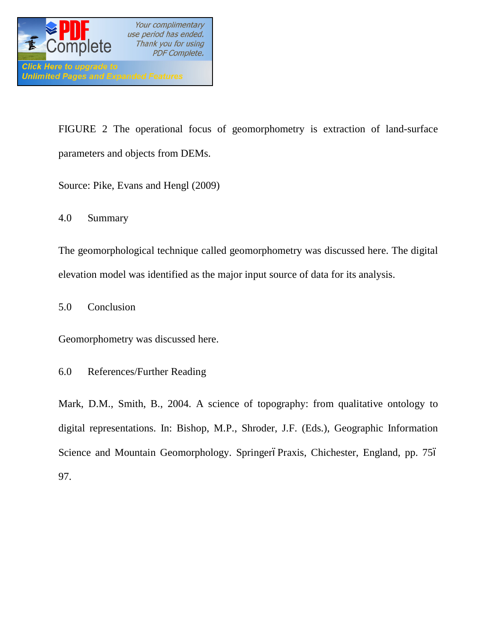

FIGURE 2 The operational focus of geomorphometry is extraction of land-surface parameters and objects from DEMs.

Source: Pike, Evans and Hengl (2009)

4.0 Summary

The geomorphological technique called geomorphometry was discussed here. The digital elevation model was identified as the major input source of data for its analysis.

5.0 Conclusion

Geomorphometry was discussed here.

6.0 References/Further Reading

Mark, D.M., Smith, B., 2004. A science of topography: from qualitative ontology to digital representations. In: Bishop, M.P., Shroder, J.F. (Eds.), Geographic Information Science and Mountain Geomorphology. SpringeróPraxis, Chichester, England, pp. 756 97.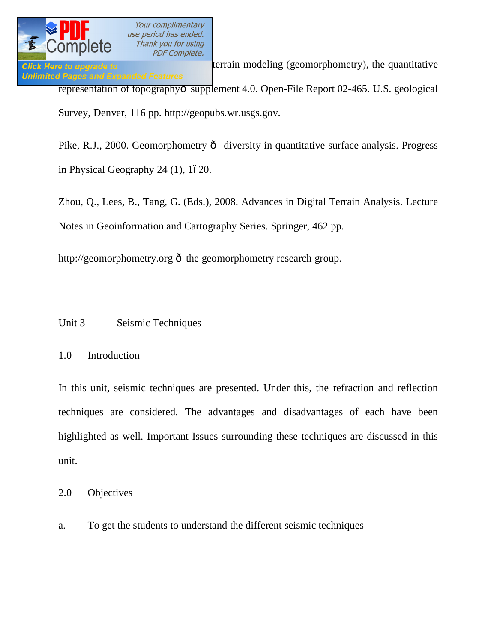

**Click Here to upgrade to Exercise 10 bidliog** (geomorphometry), the quantitative **Unlimited Pages and Expanded Features** representation of topography<sub>0</sub> supplement 4.0. Open-File Report 02-465. U.S. geological Survey, Denver, 116 pp. http://geopubs.wr.usgs.gov.

Pike, R.J., 2000. Geomorphometry  $\hat{o}$  diversity in quantitative surface analysis. Progress in Physical Geography  $24(1)$ ,  $1620$ .

Zhou, Q., Lees, B., Tang, G. (Eds.), 2008. Advances in Digital Terrain Analysis. Lecture Notes in Geoinformation and Cartography Series. Springer, 462 pp.

http://geomorphometry.org  $\hat{\sigma}$  the geomorphometry research group.

### Unit 3 Seismic Techniques

### 1.0 Introduction

In this unit, seismic techniques are presented. Under this, the refraction and reflection techniques are considered. The advantages and disadvantages of each have been highlighted as well. Important Issues surrounding these techniques are discussed in this unit.

2.0 Objectives

a. To get the students to understand the different seismic techniques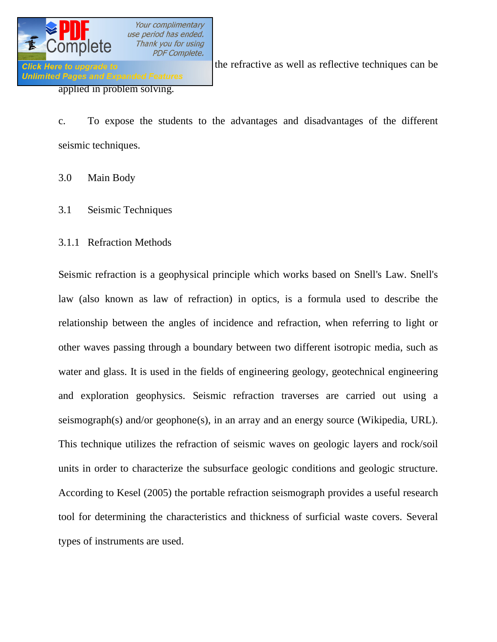

**Click Here to upgrade to** know the refractive as well as reflective techniques can be

c. To expose the students to the advantages and disadvantages of the different seismic techniques.

3.0 Main Body

- 3.1 Seismic Techniques
- 3.1.1 Refraction Methods

Seismic refraction is a geophysical principle which works based on Snell's Law. Snell's law (also known as law of refraction) in optics, is a formula used to describe the relationship between the angles of incidence and refraction, when referring to light or other waves passing through a boundary between two different isotropic media, such as water and glass. It is used in the fields of engineering geology, geotechnical engineering and exploration geophysics. Seismic refraction traverses are carried out using a seismograph(s) and/or geophone(s), in an array and an energy source (Wikipedia, URL). This technique utilizes the refraction of seismic waves on geologic layers and rock/soil units in order to characterize the subsurface geologic conditions and geologic structure. According to Kesel (2005) the portable refraction seismograph provides a useful research tool for determining the characteristics and thickness of surficial waste covers. Several types of instruments are used.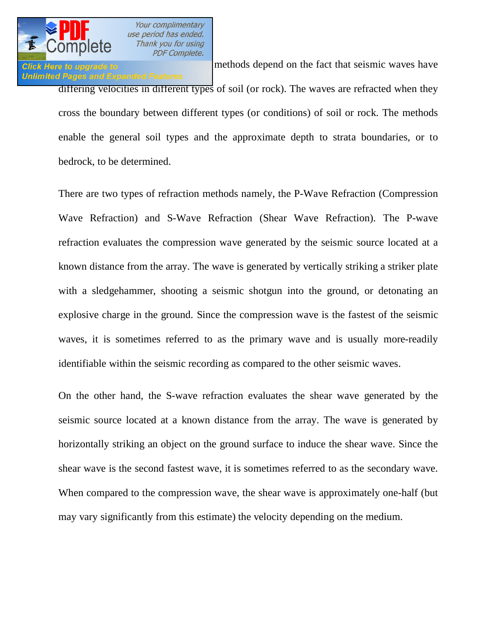

# **Unlimited Pages and Expanded Features**

Click Here to upgrade to Wikipedia (URL), the methods depend on the fact that seismic waves have differing velocities in different types of soil (or rock). The waves are refracted when they cross the boundary between different types (or conditions) of soil or rock. The methods enable the general soil types and the approximate depth to strata boundaries, or to bedrock, to be determined.

There are two types of refraction methods namely, the P-Wave Refraction (Compression Wave Refraction) and S-Wave Refraction (Shear Wave Refraction). The P-wave refraction evaluates the compression wave generated by the seismic source located at a known distance from the array. The wave is generated by vertically striking a striker plate with a sledgehammer, shooting a seismic shotgun into the ground, or detonating an explosive charge in the ground. Since the compression wave is the fastest of the seismic waves, it is sometimes referred to as the primary wave and is usually more-readily identifiable within the seismic recording as compared to the other seismic waves.

On the other hand, the S-wave refraction evaluates the shear wave generated by the seismic source located at a known distance from the array. The wave is generated by horizontally striking an object on the ground surface to induce the shear wave. Since the shear wave is the second fastest wave, it is sometimes referred to as the secondary wave. When compared to the compression wave, the shear wave is approximately one-half (but may vary significantly from this estimate) the velocity depending on the medium.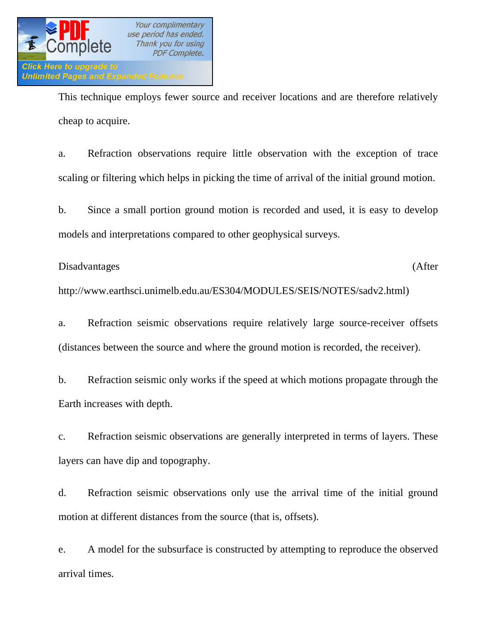

This technique employs fewer source and receiver locations and are therefore relatively cheap to acquire.

a. Refraction observations require little observation with the exception of trace scaling or filtering which helps in picking the time of arrival of the initial ground motion.

b. Since a small portion ground motion is recorded and used, it is easy to develop models and interpretations compared to other geophysical surveys.

Disadvantages (After

http://www.earthsci.unimelb.edu.au/ES304/MODULES/SEIS/NOTES/sadv2.html)

a. Refraction seismic observations require relatively large source-receiver offsets (distances between the source and where the ground motion is recorded, the receiver).

b. Refraction seismic only works if the speed at which motions propagate through the Earth increases with depth.

c. Refraction seismic observations are generally interpreted in terms of layers. These layers can have dip and topography.

d. Refraction seismic observations only use the arrival time of the initial ground motion at different distances from the source (that is, offsets).

e. A model for the subsurface is constructed by attempting to reproduce the observed arrival times.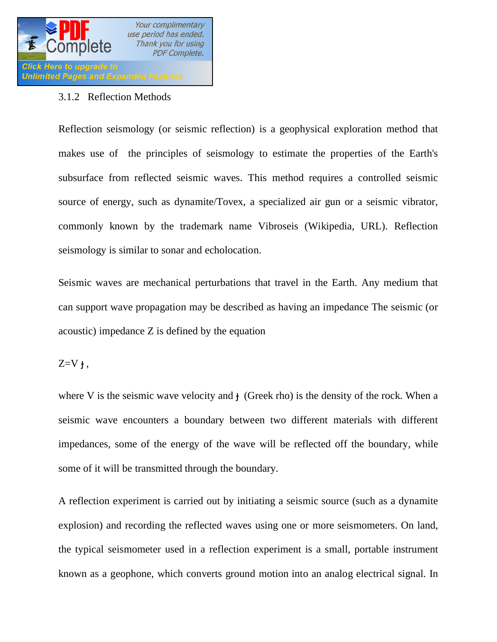

### 3.1.2 Reflection Methods

Reflection seismology (or seismic reflection) is a geophysical exploration method that makes use of the principles of seismology to estimate the properties of the Earth's subsurface from reflected seismic waves. This method requires a controlled seismic source of energy, such as dynamite/Tovex, a specialized air gun or a seismic vibrator, commonly known by the trademark name Vibroseis (Wikipedia, URL). Reflection seismology is similar to sonar and echolocation.

Seismic waves are mechanical perturbations that travel in the Earth. Any medium that can support wave propagation may be described as having an impedance The seismic (or acoustic) impedance Z is defined by the equation

 $Z=V$ ,

where V is the seismic wave velocity and (Greek rho) is the density of the rock. When a seismic wave encounters a boundary between two different materials with different impedances, some of the energy of the wave will be reflected off the boundary, while some of it will be transmitted through the boundary.

A reflection experiment is carried out by initiating a seismic source (such as a dynamite explosion) and recording the reflected waves using one or more seismometers. On land, the typical seismometer used in a reflection experiment is a small, portable instrument known as a geophone, which converts ground motion into an analog electrical signal. In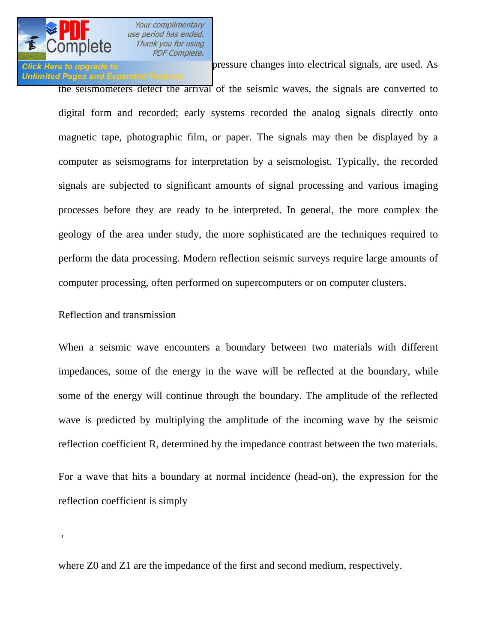

## **Unlimited Pages and Expanded Features**

Click Here to upgrade to **EXECL** convert pressure changes into electrical signals, are used. As

the seismometers detect the arrival of the seismic waves, the signals are converted to digital form and recorded; early systems recorded the analog signals directly onto magnetic tape, photographic film, or paper. The signals may then be displayed by a computer as seismograms for interpretation by a seismologist. Typically, the recorded signals are subjected to significant amounts of signal processing and various imaging processes before they are ready to be interpreted. In general, the more complex the geology of the area under study, the more sophisticated are the techniques required to perform the data processing. Modern reflection seismic surveys require large amounts of computer processing, often performed on supercomputers or on computer clusters.

### Reflection and transmission

,

When a seismic wave encounters a boundary between two materials with different impedances, some of the energy in the wave will be reflected at the boundary, while some of the energy will continue through the boundary. The amplitude of the reflected wave is predicted by multiplying the amplitude of the incoming wave by the seismic reflection coefficient R, determined by the impedance contrast between the two materials.

For a wave that hits a boundary at normal incidence (head-on), the expression for the reflection coefficient is simply

where Z0 and Z1 are the impedance of the first and second medium, respectively.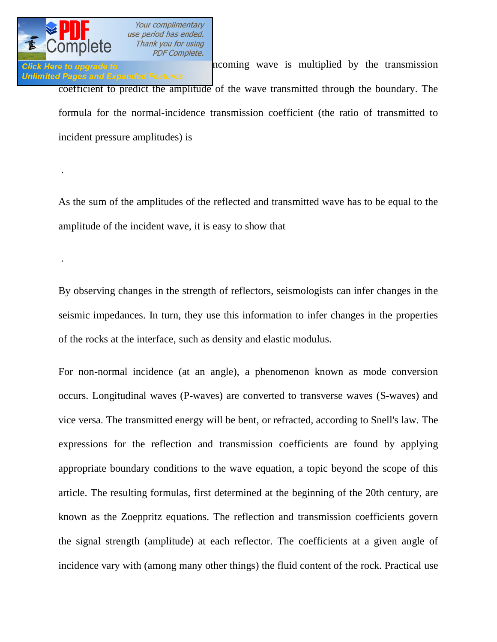

.

.

Click Here to upgrade to **Similarly, the incoming** wave is multiplied by the transmission **Unlimited Pages and Expanded Features** coefficient to predict the amplitude of the wave transmitted through the boundary. The formula for the normal-incidence transmission coefficient (the ratio of transmitted to incident pressure amplitudes) is

As the sum of the amplitudes of the reflected and transmitted wave has to be equal to the amplitude of the incident wave, it is easy to show that

By observing changes in the strength of reflectors, seismologists can infer changes in the seismic impedances. In turn, they use this information to infer changes in the properties of the rocks at the interface, such as density and elastic modulus.

For non-normal incidence (at an angle), a phenomenon known as mode conversion occurs. Longitudinal waves (P-waves) are converted to transverse waves (S-waves) and vice versa. The transmitted energy will be bent, or refracted, according to Snell's law. The expressions for the reflection and transmission coefficients are found by applying appropriate boundary conditions to the wave equation, a topic beyond the scope of this article. The resulting formulas, first determined at the beginning of the 20th century, are known as the Zoeppritz equations. The reflection and transmission coefficients govern the signal strength (amplitude) at each reflector. The coefficients at a given angle of incidence vary with (among many other things) the fluid content of the rock. Practical use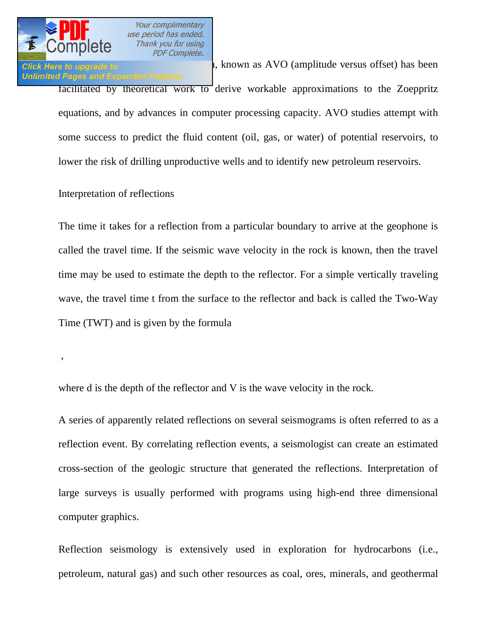

,

Your complimentary use period has ended. .<br>Thank you for using **PDF Complete.** 

### Click Here to upgrade to  $\frac{1}{2}$ , known as AVO (amplitude versus offset) has been **Unlimited Pages and Expanded Features**

facilitated by theoretical work to derive workable approximations to the Zoeppritz equations, and by advances in computer processing capacity. AVO studies attempt with some success to predict the fluid content (oil, gas, or water) of potential reservoirs, to lower the risk of drilling unproductive wells and to identify new petroleum reservoirs.

### Interpretation of reflections

The time it takes for a reflection from a particular boundary to arrive at the geophone is called the travel time. If the seismic wave velocity in the rock is known, then the travel time may be used to estimate the depth to the reflector. For a simple vertically traveling wave, the travel time t from the surface to the reflector and back is called the Two-Way Time (TWT) and is given by the formula

where d is the depth of the reflector and V is the wave velocity in the rock.

A series of apparently related reflections on several seismograms is often referred to as a reflection event. By correlating reflection events, a seismologist can create an estimated cross-section of the geologic structure that generated the reflections. Interpretation of large surveys is usually performed with programs using high-end three dimensional computer graphics.

Reflection seismology is extensively used in exploration for hydrocarbons (i.e., petroleum, natural gas) and such other resources as coal, ores, minerals, and geothermal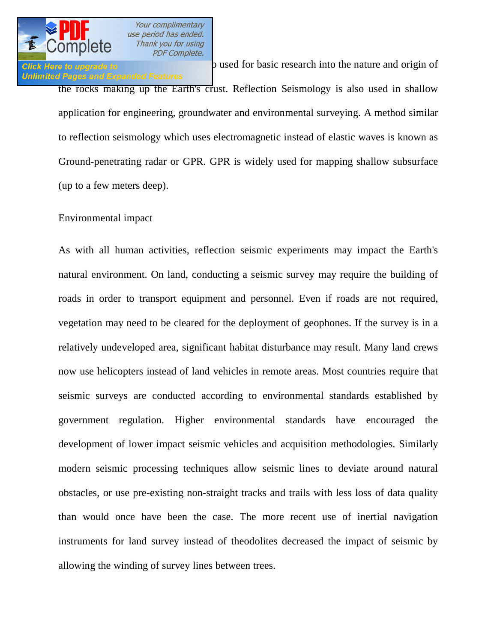

# **Unlimited Pages and Expanded Features**

**Click Here to upgrade to** 

the rocks making up the Earth's crust. Reflection Seismology is also used in shallow application for engineering, groundwater and environmental surveying. A method similar to reflection seismology which uses electromagnetic instead of elastic waves is known as Ground-penetrating radar or GPR. GPR is widely used for mapping shallow subsurface (up to a few meters deep).

### Environmental impact

As with all human activities, reflection seismic experiments may impact the Earth's natural environment. On land, conducting a seismic survey may require the building of roads in order to transport equipment and personnel. Even if roads are not required, vegetation may need to be cleared for the deployment of geophones. If the survey is in a relatively undeveloped area, significant habitat disturbance may result. Many land crews now use helicopters instead of land vehicles in remote areas. Most countries require that seismic surveys are conducted according to environmental standards established by government regulation. Higher environmental standards have encouraged the development of lower impact seismic vehicles and acquisition methodologies. Similarly modern seismic processing techniques allow seismic lines to deviate around natural obstacles, or use pre-existing non-straight tracks and trails with less loss of data quality than would once have been the case. The more recent use of inertial navigation instruments for land survey instead of theodolites decreased the impact of seismic by allowing the winding of survey lines between trees.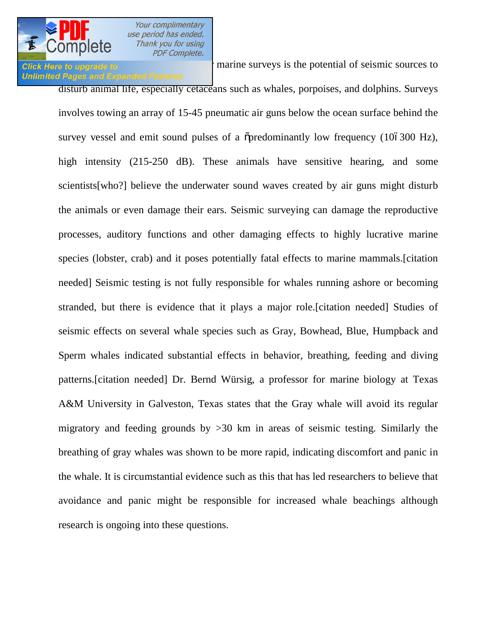## **Unlimited Pages and Expanded Features**

Click Here to upgrade to **[The main environmental concern for](http://www.pdfcomplete.com/cms/hppl/tabid/108/Default.aspx?r=q8b3uige22) marine** surveys is the potential of seismic sources to

disturb animal life, especially cetaceans such as whales, porpoises, and dolphins. Surveys involves towing an array of 15-45 pneumatic air guns below the ocean surface behind the survey vessel and emit sound pulses of a  $\tilde{\sigma}$  predominantly low frequency (106300 Hz), high intensity (215-250 dB). These animals have sensitive hearing, and some scientists[who?] believe the underwater sound waves created by air guns might disturb the animals or even damage their ears. Seismic surveying can damage the reproductive processes, auditory functions and other damaging effects to highly lucrative marine species (lobster, crab) and it poses potentially fatal effects to marine mammals.[citation needed] Seismic testing is not fully responsible for whales running ashore or becoming stranded, but there is evidence that it plays a major role.[citation needed] Studies of seismic effects on several whale species such as Gray, Bowhead, Blue, Humpback and Sperm whales indicated substantial effects in behavior, breathing, feeding and diving patterns.[citation needed] Dr. Bernd Würsig, a professor for marine biology at Texas A&M University in Galveston, Texas states that the Gray whale will avoid its regular migratory and feeding grounds by >30 km in areas of seismic testing. Similarly the breathing of gray whales was shown to be more rapid, indicating discomfort and panic in the whale. It is circumstantial evidence such as this that has led researchers to believe that avoidance and panic might be responsible for increased whale beachings although research is ongoing into these questions.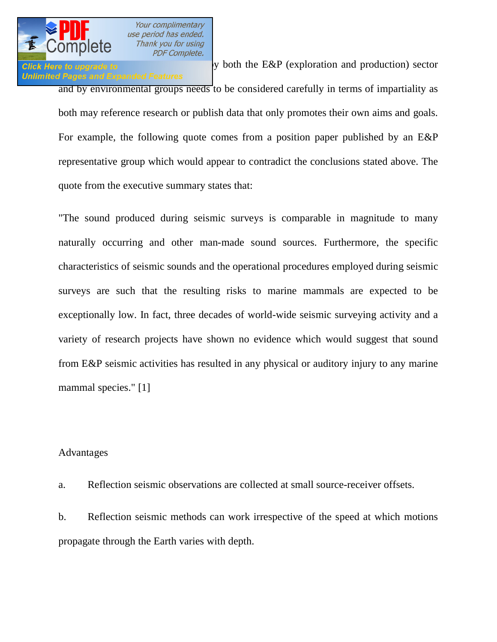

Click Here to upgrade to  $\blacksquare$  y both the E&P (exploration and production) sector **Unlimited Pages and Expanded Features** and by environmental groups needs to be considered carefully in terms of impartiality as both may reference research or publish data that only promotes their own aims and goals. For example, the following quote comes from a position paper published by an E&P representative group which would appear to contradict the conclusions stated above. The quote from the executive summary states that:

"The sound produced during seismic surveys is comparable in magnitude to many naturally occurring and other man-made sound sources. Furthermore, the specific characteristics of seismic sounds and the operational procedures employed during seismic surveys are such that the resulting risks to marine mammals are expected to be exceptionally low. In fact, three decades of world-wide seismic surveying activity and a variety of research projects have shown no evidence which would suggest that sound from E&P seismic activities has resulted in any physical or auditory injury to any marine mammal species." [1]

### Advantages

a. Reflection seismic observations are collected at small source-receiver offsets.

b. Reflection seismic methods can work irrespective of the speed at which motions propagate through the Earth varies with depth.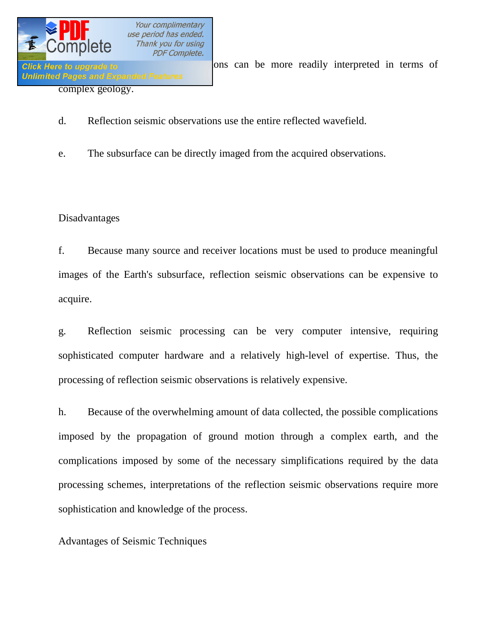

**Click Here to upgrade to EXECUTE:** Click Here to upgrade to **EXECUTE:** One can be more readily interpreted in terms of

- d. Reflection seismic observations use the entire reflected wavefield.
- e. The subsurface can be directly imaged from the acquired observations.

### Disadvantages

f. Because many source and receiver locations must be used to produce meaningful images of the Earth's subsurface, reflection seismic observations can be expensive to acquire.

g. Reflection seismic processing can be very computer intensive, requiring sophisticated computer hardware and a relatively high-level of expertise. Thus, the processing of reflection seismic observations is relatively expensive.

h. Because of the overwhelming amount of data collected, the possible complications imposed by the propagation of ground motion through a complex earth, and the complications imposed by some of the necessary simplifications required by the data processing schemes, interpretations of the reflection seismic observations require more sophistication and knowledge of the process.

Advantages of Seismic Techniques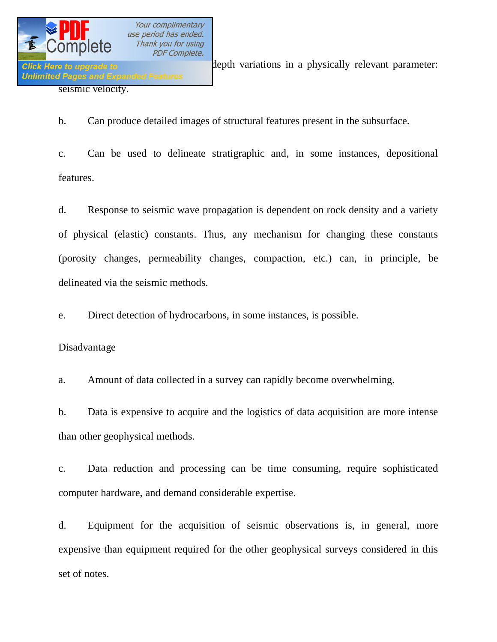

b. Can produce detailed images of structural features present in the subsurface.

c. Can be used to delineate stratigraphic and, in some instances, depositional features.

d. Response to seismic wave propagation is dependent on rock density and a variety of physical (elastic) constants. Thus, any mechanism for changing these constants (porosity changes, permeability changes, compaction, etc.) can, in principle, be delineated via the seismic methods.

e. Direct detection of hydrocarbons, in some instances, is possible.

### Disadvantage

a. Amount of data collected in a survey can rapidly become overwhelming.

b. Data is expensive to acquire and the logistics of data acquisition are more intense than other geophysical methods.

c. Data reduction and processing can be time consuming, require sophisticated computer hardware, and demand considerable expertise.

d. Equipment for the acquisition of seismic observations is, in general, more expensive than equipment required for the other geophysical surveys considered in this set of notes.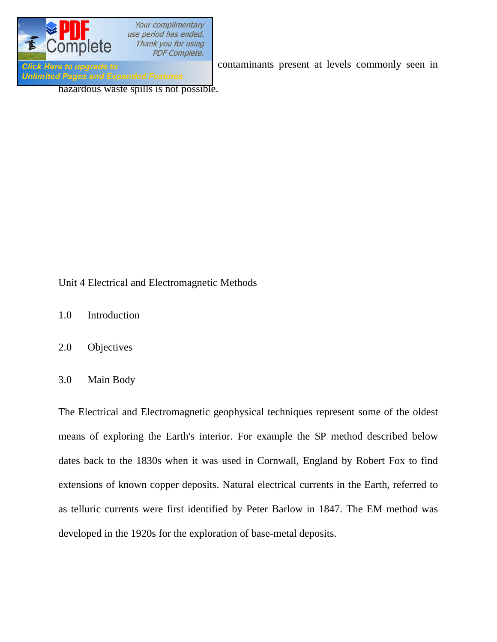

**Click Here to upgrade to contaminants** present at levels commonly seen in

**Unlimited Pages and Expanded Features** 

hazardous waste spills is not possible.

### Unit 4 Electrical and Electromagnetic Methods

- 1.0 Introduction
- 2.0 Objectives
- 3.0 Main Body

The Electrical and Electromagnetic geophysical techniques represent some of the oldest means of exploring the Earth's interior. For example the SP method described below dates back to the 1830s when it was used in Cornwall, England by Robert Fox to find extensions of known copper deposits. Natural electrical currents in the Earth, referred to as telluric currents were first identified by Peter Barlow in 1847. The EM method was developed in the 1920s for the exploration of base-metal deposits.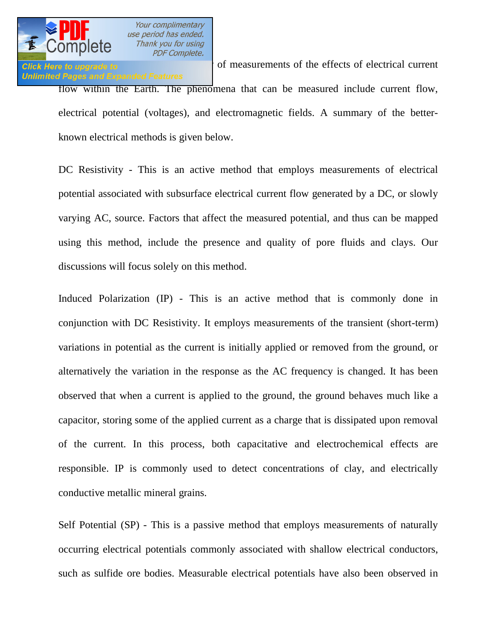

# **Unlimited Pages and Expanded Features**

Click Here to upgrade to **Electrical current** of measurements of the effects of electrical current flow within the Earth. The phenomena that can be measured include current flow, electrical potential (voltages), and electromagnetic fields. A summary of the betterknown electrical methods is given below.

DC Resistivity - This is an active method that employs measurements of electrical potential associated with subsurface electrical current flow generated by a DC, or slowly varying AC, source. Factors that affect the measured potential, and thus can be mapped using this method, include the presence and quality of pore fluids and clays. Our discussions will focus solely on this method.

Induced Polarization (IP) - This is an active method that is commonly done in conjunction with DC Resistivity. It employs measurements of the transient (short-term) variations in potential as the current is initially applied or removed from the ground, or alternatively the variation in the response as the AC frequency is changed. It has been observed that when a current is applied to the ground, the ground behaves much like a capacitor, storing some of the applied current as a charge that is dissipated upon removal of the current. In this process, both capacitative and electrochemical effects are responsible. IP is commonly used to detect concentrations of clay, and electrically conductive metallic mineral grains.

Self Potential (SP) - This is a passive method that employs measurements of naturally occurring electrical potentials commonly associated with shallow electrical conductors, such as sulfide ore bodies. Measurable electrical potentials have also been observed in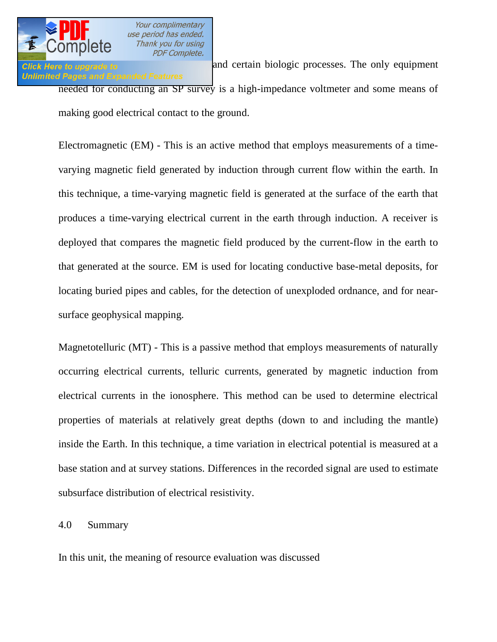

# **Unlimited Pages and Expanded Features**

**Click Here to upgrade to and certain biologic processes.** The only equipment needed for conducting an SP survey is a high-impedance voltmeter and some means of making good electrical contact to the ground.

Electromagnetic (EM) - This is an active method that employs measurements of a timevarying magnetic field generated by induction through current flow within the earth. In this technique, a time-varying magnetic field is generated at the surface of the earth that produces a time-varying electrical current in the earth through induction. A receiver is deployed that compares the magnetic field produced by the current-flow in the earth to that generated at the source. EM is used for locating conductive base-metal deposits, for locating buried pipes and cables, for the detection of unexploded ordnance, and for nearsurface geophysical mapping.

Magnetotelluric (MT) - This is a passive method that employs measurements of naturally occurring electrical currents, telluric currents, generated by magnetic induction from electrical currents in the ionosphere. This method can be used to determine electrical properties of materials at relatively great depths (down to and including the mantle) inside the Earth. In this technique, a time variation in electrical potential is measured at a base station and at survey stations. Differences in the recorded signal are used to estimate subsurface distribution of electrical resistivity.

### 4.0 Summary

In this unit, the meaning of resource evaluation was discussed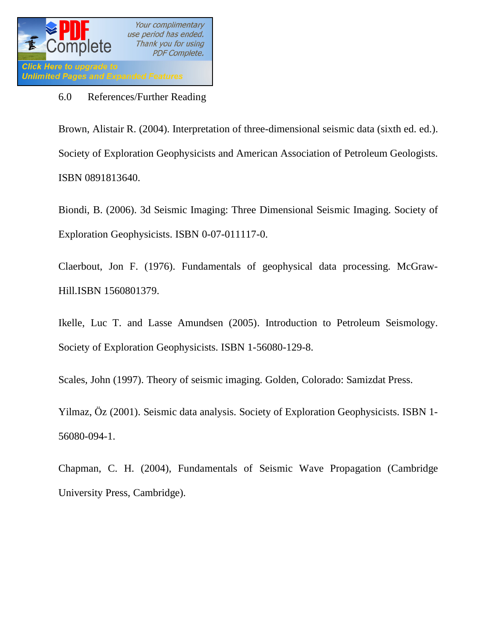

### 6.0 References/Further Reading

Brown, Alistair R. (2004). Interpretation of three-dimensional seismic data (sixth ed. ed.). Society of Exploration Geophysicists and American Association of Petroleum Geologists. ISBN 0891813640.

Biondi, B. (2006). 3d Seismic Imaging: Three Dimensional Seismic Imaging. Society of Exploration Geophysicists. ISBN 0-07-011117-0.

Claerbout, Jon F. (1976). Fundamentals of geophysical data processing. McGraw-Hill.ISBN 1560801379.

Ikelle, Luc T. and Lasse Amundsen (2005). Introduction to Petroleum Seismology. Society of Exploration Geophysicists. ISBN 1-56080-129-8.

Scales, John (1997). Theory of seismic imaging. Golden, Colorado: Samizdat Press.

Yilmaz, Öz (2001). Seismic data analysis. Society of Exploration Geophysicists. ISBN 1- 56080-094-1.

Chapman, C. H. (2004), Fundamentals of Seismic Wave Propagation (Cambridge University Press, Cambridge).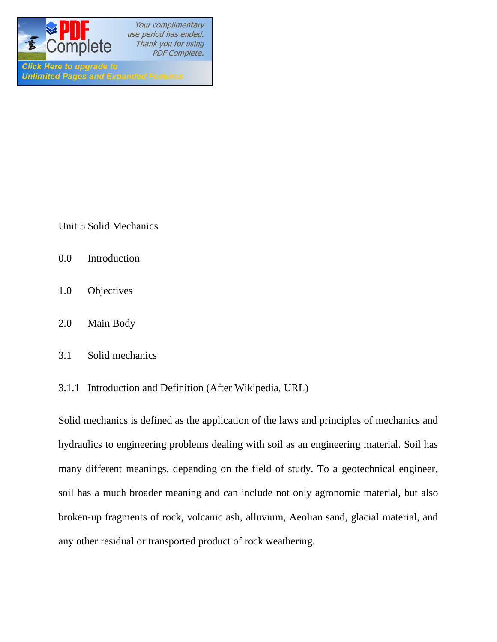

Unit 5 Solid Mechanics

**Unlimited Pages and Expanded Features** 

- 0.0 Introduction
- 1.0 Objectives
- 2.0 Main Body
- 3.1 Solid mechanics
- 3.1.1 Introduction and Definition (After Wikipedia, URL)

Solid mechanics is defined as the application of the laws and principles of mechanics and hydraulics to engineering problems dealing with soil as an engineering material. Soil has many different meanings, depending on the field of study. To a geotechnical engineer, soil has a much broader meaning and can include not only agronomic material, but also broken-up fragments of rock, volcanic ash, alluvium, Aeolian sand, glacial material, and any other residual or transported product of rock weathering.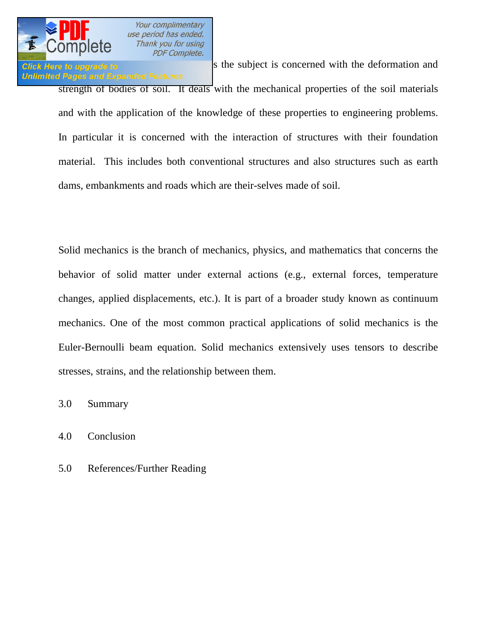

**Click Here to upgrade to S** the subject is concerned with the deformation and **Unlimited Pages and Expanded Features** strength of bodies of soil. It deals with the mechanical properties of the soil materials and with the application of the knowledge of these properties to engineering problems. In particular it is concerned with the interaction of structures with their foundation material. This includes both conventional structures and also structures such as earth dams, embankments and roads which are their-selves made of soil.

Solid mechanics is the branch of mechanics, physics, and mathematics that concerns the behavior of solid matter under external actions (e.g., external forces, temperature changes, applied displacements, etc.). It is part of a broader study known as continuum mechanics. One of the most common practical applications of solid mechanics is the Euler-Bernoulli beam equation. Solid mechanics extensively uses tensors to describe stresses, strains, and the relationship between them.

3.0 Summary

4.0 Conclusion

5.0 References/Further Reading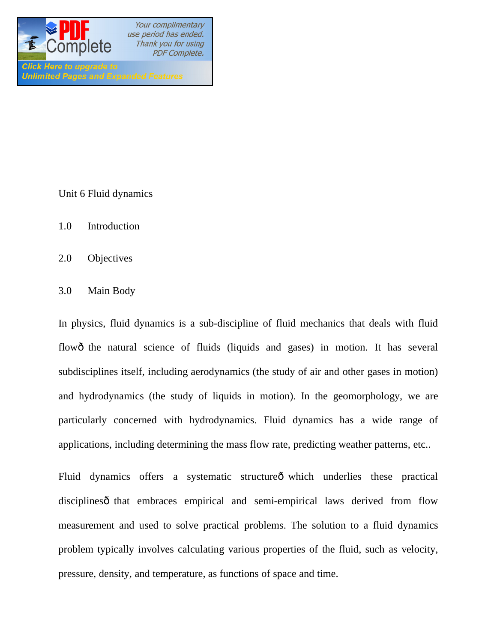

Unit 6 Fluid dynamics

- 1.0 Introduction
- 2.0 Objectives
- 3.0 Main Body

In physics, fluid dynamics is a sub-discipline of fluid mechanics that deals with fluid flowô the natural science of fluids (liquids and gases) in motion. It has several subdisciplines itself, including aerodynamics (the study of air and other gases in motion) and hydrodynamics (the study of liquids in motion). In the geomorphology, we are particularly concerned with hydrodynamics. Fluid dynamics has a wide range of applications, including determining the mass flow rate, predicting weather patterns, etc..

Fluid dynamics offers a systematic structure o which underlies these practical disciplines othat embraces empirical and semi-empirical laws derived from flow measurement and used to solve practical problems. The solution to a fluid dynamics problem typically involves calculating various properties of the fluid, such as velocity, pressure, density, and temperature, as functions of space and time.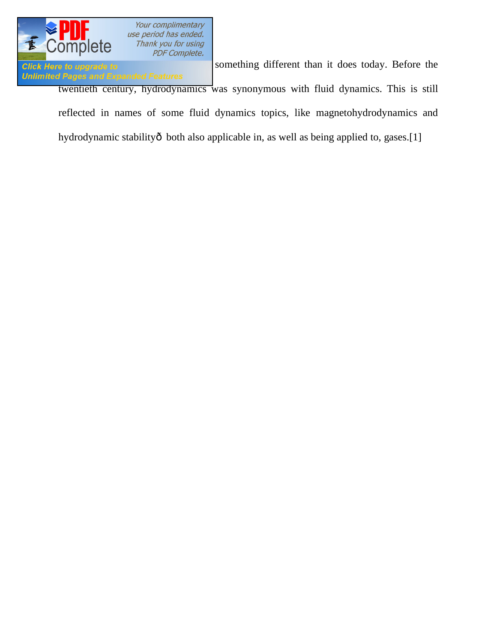

**Click Here to upgrade to Example 10 Something different than it does today. Before the Unlimited Pages and Expanded Features** twentieth century, hydrodynamics was synonymous with fluid dynamics. This is still reflected in names of some fluid dynamics topics, like magnetohydrodynamics and hydrodynamic stabilityô both also applicable in, as well as being applied to, gases.[1]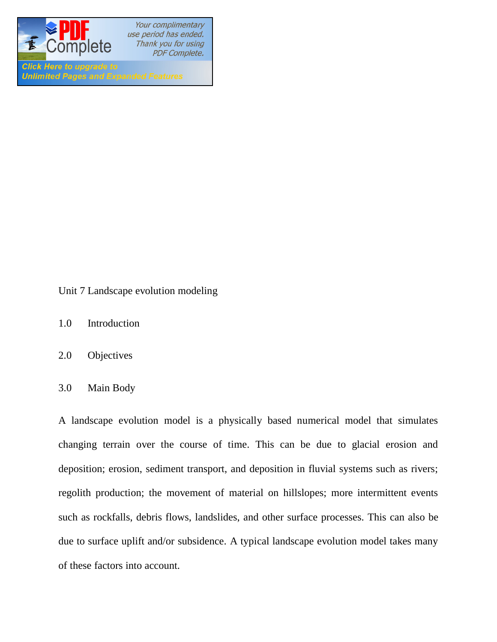

**Click Here to upgrade to Unlimited Pages and Expanded Features** 

Unit 7 Landscape evolution modeling

- 1.0 Introduction
- 2.0 Objectives
- 3.0 Main Body

A landscape evolution model is a physically based numerical model that simulates changing terrain over the course of time. This can be due to glacial erosion and deposition; erosion, sediment transport, and deposition in fluvial systems such as rivers; regolith production; the movement of material on hillslopes; more intermittent events such as rockfalls, debris flows, landslides, and other surface processes. This can also be due to surface uplift and/or subsidence. A typical landscape evolution model takes many of these factors into account.